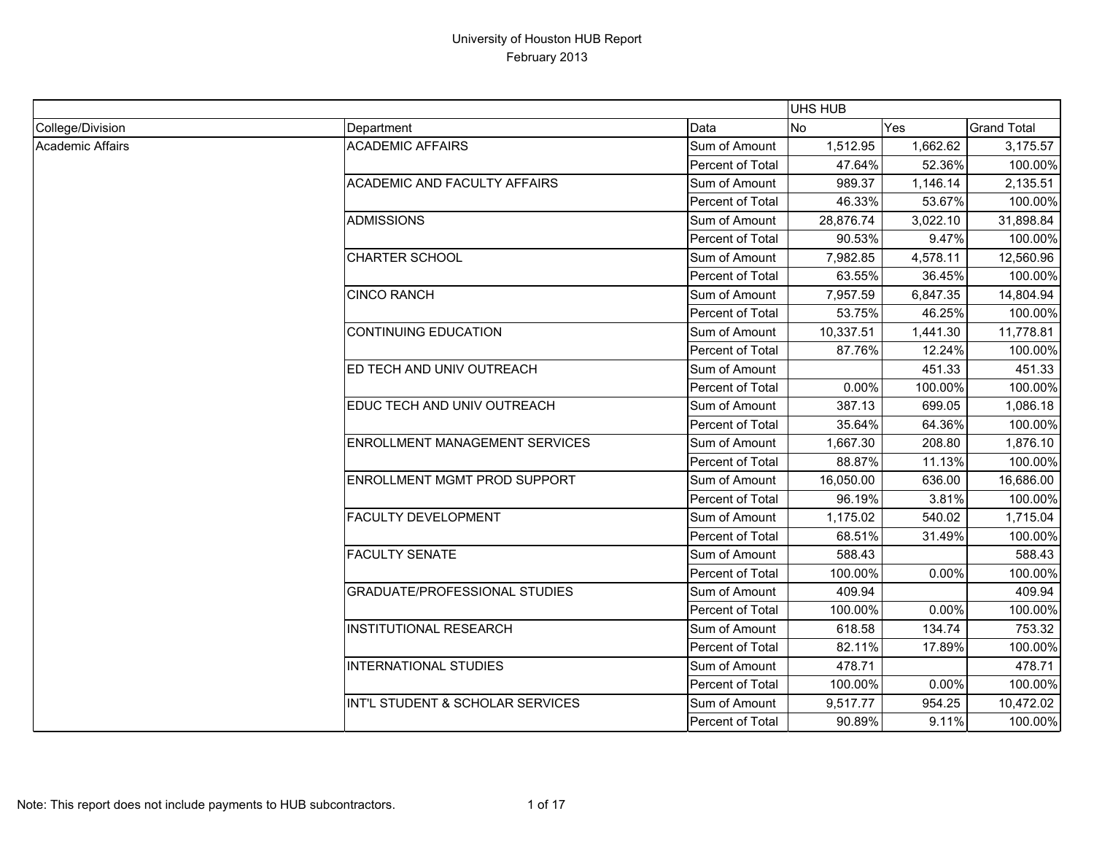|                  |                                       |                  | <b>UHS HUB</b> |            |                    |
|------------------|---------------------------------------|------------------|----------------|------------|--------------------|
| College/Division | Department                            | Data             | <b>No</b>      | <b>Yes</b> | <b>Grand Total</b> |
| Academic Affairs | <b>ACADEMIC AFFAIRS</b>               | Sum of Amount    | 1,512.95       | 1,662.62   | 3,175.57           |
|                  |                                       | Percent of Total | 47.64%         | 52.36%     | 100.00%            |
|                  | <b>ACADEMIC AND FACULTY AFFAIRS</b>   | Sum of Amount    | 989.37         | 1,146.14   | 2,135.51           |
|                  |                                       | Percent of Total | 46.33%         | 53.67%     | 100.00%            |
|                  | <b>ADMISSIONS</b>                     | Sum of Amount    | 28,876.74      | 3,022.10   | 31,898.84          |
|                  |                                       | Percent of Total | 90.53%         | 9.47%      | 100.00%            |
|                  | <b>CHARTER SCHOOL</b>                 | Sum of Amount    | 7,982.85       | 4,578.11   | 12,560.96          |
|                  |                                       | Percent of Total | 63.55%         | 36.45%     | 100.00%            |
|                  | <b>CINCO RANCH</b>                    | Sum of Amount    | 7,957.59       | 6,847.35   | 14,804.94          |
|                  |                                       | Percent of Total | 53.75%         | 46.25%     | 100.00%            |
|                  | <b>CONTINUING EDUCATION</b>           | Sum of Amount    | 10,337.51      | 1,441.30   | 11,778.81          |
|                  |                                       | Percent of Total | 87.76%         | 12.24%     | 100.00%            |
|                  | ED TECH AND UNIV OUTREACH             | Sum of Amount    |                | 451.33     | 451.33             |
|                  |                                       | Percent of Total | 0.00%          | 100.00%    | 100.00%            |
|                  | EDUC TECH AND UNIV OUTREACH           | Sum of Amount    | 387.13         | 699.05     | 1,086.18           |
|                  |                                       | Percent of Total | 35.64%         | 64.36%     | 100.00%            |
|                  | <b>ENROLLMENT MANAGEMENT SERVICES</b> | Sum of Amount    | 1,667.30       | 208.80     | 1,876.10           |
|                  |                                       | Percent of Total | 88.87%         | 11.13%     | 100.00%            |
|                  | ENROLLMENT MGMT PROD SUPPORT          | Sum of Amount    | 16,050.00      | 636.00     | 16,686.00          |
|                  |                                       | Percent of Total | 96.19%         | 3.81%      | 100.00%            |
|                  | <b>FACULTY DEVELOPMENT</b>            | Sum of Amount    | 1,175.02       | 540.02     | 1,715.04           |
|                  |                                       | Percent of Total | 68.51%         | 31.49%     | 100.00%            |
|                  | <b>FACULTY SENATE</b>                 | Sum of Amount    | 588.43         |            | 588.43             |
|                  |                                       | Percent of Total | 100.00%        | 0.00%      | 100.00%            |
|                  | <b>GRADUATE/PROFESSIONAL STUDIES</b>  | Sum of Amount    | 409.94         |            | 409.94             |
|                  |                                       | Percent of Total | 100.00%        | 0.00%      | 100.00%            |
|                  | <b>INSTITUTIONAL RESEARCH</b>         | Sum of Amount    | 618.58         | 134.74     | 753.32             |
|                  |                                       | Percent of Total | 82.11%         | 17.89%     | 100.00%            |
|                  | <b>INTERNATIONAL STUDIES</b>          | Sum of Amount    | 478.71         |            | 478.71             |
|                  |                                       | Percent of Total | 100.00%        | 0.00%      | 100.00%            |
|                  | INT'L STUDENT & SCHOLAR SERVICES      | Sum of Amount    | 9,517.77       | 954.25     | 10,472.02          |
|                  |                                       | Percent of Total | 90.89%         | 9.11%      | 100.00%            |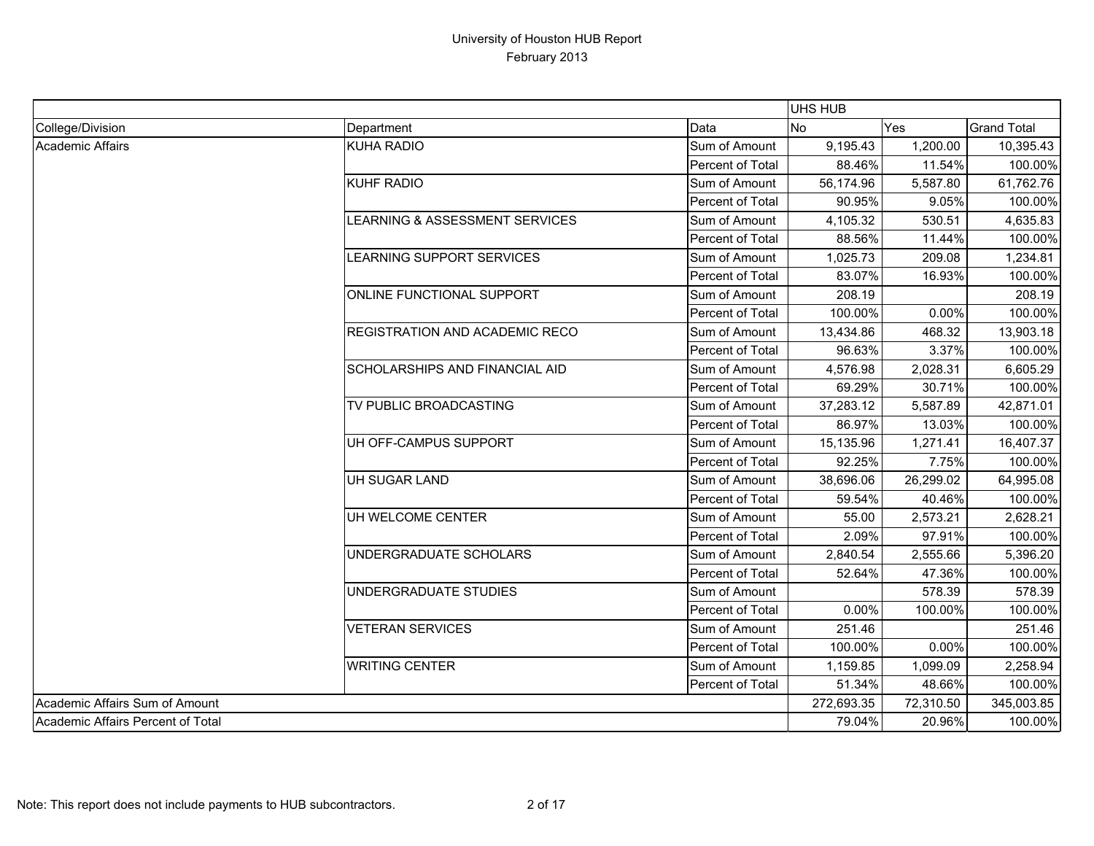|                                   |                                       |                         | UHS HUB    |           |                    |
|-----------------------------------|---------------------------------------|-------------------------|------------|-----------|--------------------|
| College/Division                  | Department                            | Data                    | <b>No</b>  | Yes       | <b>Grand Total</b> |
| Academic Affairs                  | <b>KUHA RADIO</b>                     | Sum of Amount           | 9,195.43   | 1,200.00  | 10,395.43          |
|                                   |                                       | Percent of Total        | 88.46%     | 11.54%    | 100.00%            |
|                                   | KUHF RADIO                            | Sum of Amount           | 56,174.96  | 5,587.80  | 61,762.76          |
|                                   |                                       | Percent of Total        | 90.95%     | 9.05%     | 100.00%            |
|                                   | LEARNING & ASSESSMENT SERVICES        | Sum of Amount           | 4,105.32   | 530.51    | 4,635.83           |
|                                   |                                       | Percent of Total        | 88.56%     | 11.44%    | 100.00%            |
|                                   | <b>LEARNING SUPPORT SERVICES</b>      | Sum of Amount           | 1,025.73   | 209.08    | 1,234.81           |
|                                   |                                       | Percent of Total        | 83.07%     | 16.93%    | 100.00%            |
|                                   | ONLINE FUNCTIONAL SUPPORT             | Sum of Amount           | 208.19     |           | 208.19             |
|                                   |                                       | Percent of Total        | 100.00%    | 0.00%     | 100.00%            |
|                                   | <b>REGISTRATION AND ACADEMIC RECO</b> | Sum of Amount           | 13,434.86  | 468.32    | 13,903.18          |
|                                   |                                       | Percent of Total        | 96.63%     | 3.37%     | 100.00%            |
|                                   | SCHOLARSHIPS AND FINANCIAL AID        | Sum of Amount           | 4,576.98   | 2,028.31  | 6,605.29           |
|                                   |                                       | Percent of Total        | 69.29%     | 30.71%    | 100.00%            |
|                                   | TV PUBLIC BROADCASTING                | Sum of Amount           | 37,283.12  | 5,587.89  | 42,871.01          |
|                                   |                                       | Percent of Total        | 86.97%     | 13.03%    | 100.00%            |
|                                   | UH OFF-CAMPUS SUPPORT                 | Sum of Amount           | 15,135.96  | 1,271.41  | 16,407.37          |
|                                   |                                       | Percent of Total        | 92.25%     | 7.75%     | 100.00%            |
|                                   | UH SUGAR LAND                         | Sum of Amount           | 38,696.06  | 26,299.02 | 64,995.08          |
|                                   |                                       | <b>Percent of Total</b> | 59.54%     | 40.46%    | 100.00%            |
|                                   | UH WELCOME CENTER                     | Sum of Amount           | 55.00      | 2,573.21  | 2,628.21           |
|                                   |                                       | Percent of Total        | 2.09%      | 97.91%    | 100.00%            |
|                                   | UNDERGRADUATE SCHOLARS                | Sum of Amount           | 2,840.54   | 2,555.66  | 5,396.20           |
|                                   |                                       | Percent of Total        | 52.64%     | 47.36%    | 100.00%            |
|                                   | UNDERGRADUATE STUDIES                 | Sum of Amount           |            | 578.39    | 578.39             |
|                                   |                                       | Percent of Total        | 0.00%      | 100.00%   | 100.00%            |
|                                   | <b>VETERAN SERVICES</b>               | Sum of Amount           | 251.46     |           | 251.46             |
|                                   |                                       | Percent of Total        | 100.00%    | 0.00%     | 100.00%            |
|                                   | <b>WRITING CENTER</b>                 | Sum of Amount           | 1,159.85   | 1,099.09  | 2,258.94           |
|                                   |                                       | Percent of Total        | 51.34%     | 48.66%    | 100.00%            |
| Academic Affairs Sum of Amount    |                                       |                         | 272,693.35 | 72,310.50 | 345,003.85         |
| Academic Affairs Percent of Total |                                       |                         | 79.04%     | 20.96%    | 100.00%            |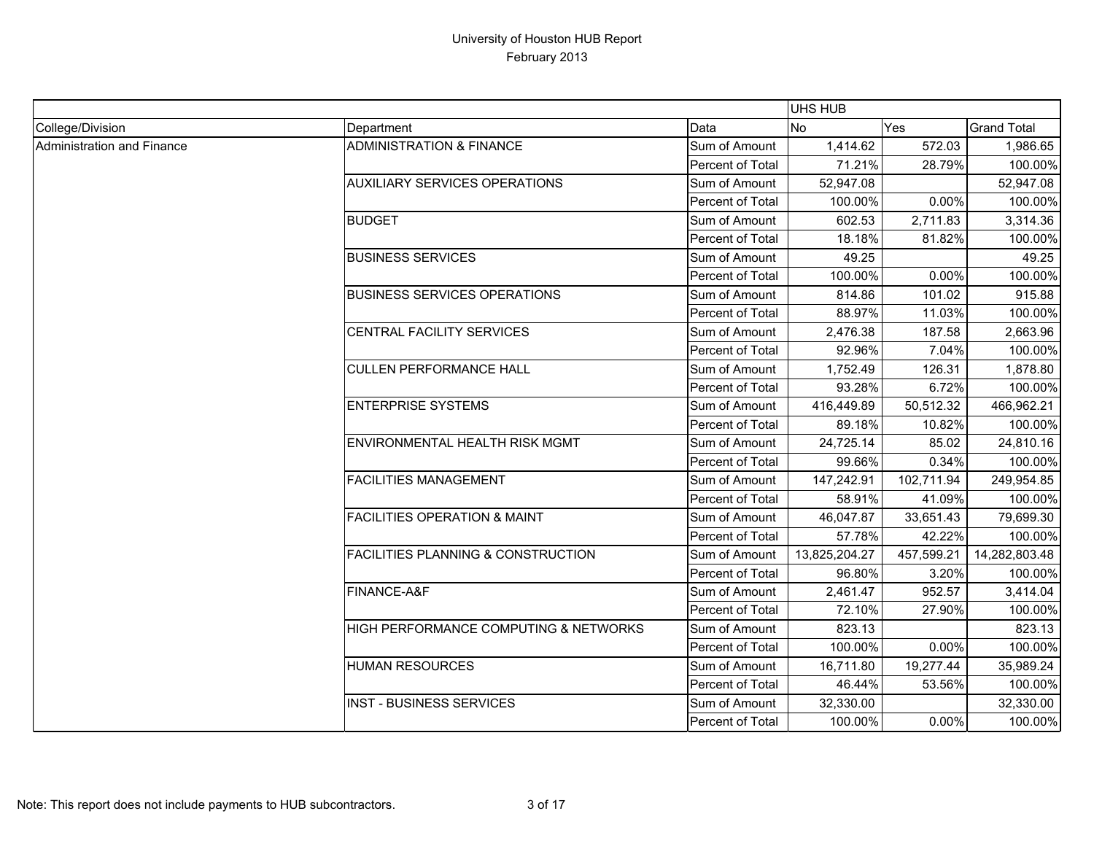|                            |                                               |                  | <b>UHS HUB</b> |            |                    |
|----------------------------|-----------------------------------------------|------------------|----------------|------------|--------------------|
| College/Division           | Department                                    | Data             | <b>No</b>      | Yes        | <b>Grand Total</b> |
| Administration and Finance | <b>ADMINISTRATION &amp; FINANCE</b>           | Sum of Amount    | 1,414.62       | 572.03     | 1,986.65           |
|                            |                                               | Percent of Total | 71.21%         | 28.79%     | 100.00%            |
|                            | <b>AUXILIARY SERVICES OPERATIONS</b>          | Sum of Amount    | 52,947.08      |            | 52,947.08          |
|                            |                                               | Percent of Total | 100.00%        | 0.00%      | 100.00%            |
|                            | <b>BUDGET</b>                                 | Sum of Amount    | 602.53         | 2,711.83   | 3,314.36           |
|                            |                                               | Percent of Total | 18.18%         | 81.82%     | 100.00%            |
|                            | <b>BUSINESS SERVICES</b>                      | Sum of Amount    | 49.25          |            | 49.25              |
|                            |                                               | Percent of Total | 100.00%        | 0.00%      | 100.00%            |
|                            | <b>BUSINESS SERVICES OPERATIONS</b>           | Sum of Amount    | 814.86         | 101.02     | 915.88             |
|                            |                                               | Percent of Total | 88.97%         | 11.03%     | 100.00%            |
|                            | CENTRAL FACILITY SERVICES                     | Sum of Amount    | 2,476.38       | 187.58     | 2,663.96           |
|                            |                                               | Percent of Total | 92.96%         | 7.04%      | 100.00%            |
|                            | <b>CULLEN PERFORMANCE HALL</b>                | Sum of Amount    | 1,752.49       | 126.31     | 1,878.80           |
|                            |                                               | Percent of Total | 93.28%         | 6.72%      | 100.00%            |
|                            | <b>ENTERPRISE SYSTEMS</b>                     | Sum of Amount    | 416,449.89     | 50,512.32  | 466,962.21         |
|                            |                                               | Percent of Total | 89.18%         | 10.82%     | 100.00%            |
|                            | ENVIRONMENTAL HEALTH RISK MGMT                | Sum of Amount    | 24,725.14      | 85.02      | 24,810.16          |
|                            |                                               | Percent of Total | 99.66%         | 0.34%      | 100.00%            |
|                            | <b>FACILITIES MANAGEMENT</b>                  | Sum of Amount    | 147,242.91     | 102,711.94 | 249,954.85         |
|                            |                                               | Percent of Total | 58.91%         | 41.09%     | 100.00%            |
|                            | <b>FACILITIES OPERATION &amp; MAINT</b>       | Sum of Amount    | 46,047.87      | 33,651.43  | 79,699.30          |
|                            |                                               | Percent of Total | 57.78%         | 42.22%     | 100.00%            |
|                            | <b>FACILITIES PLANNING &amp; CONSTRUCTION</b> | Sum of Amount    | 13,825,204.27  | 457,599.21 | 14,282,803.48      |
|                            |                                               | Percent of Total | 96.80%         | 3.20%      | 100.00%            |
|                            | FINANCE-A&F                                   | Sum of Amount    | 2,461.47       | 952.57     | 3,414.04           |
|                            |                                               | Percent of Total | 72.10%         | 27.90%     | 100.00%            |
|                            | HIGH PERFORMANCE COMPUTING & NETWORKS         | Sum of Amount    | 823.13         |            | 823.13             |
|                            |                                               | Percent of Total | 100.00%        | 0.00%      | 100.00%            |
|                            | <b>HUMAN RESOURCES</b>                        | Sum of Amount    | 16,711.80      | 19,277.44  | 35,989.24          |
|                            |                                               | Percent of Total | 46.44%         | 53.56%     | 100.00%            |
|                            | <b>INST - BUSINESS SERVICES</b>               | Sum of Amount    | 32,330.00      |            | 32,330.00          |
|                            |                                               | Percent of Total | 100.00%        | 0.00%      | 100.00%            |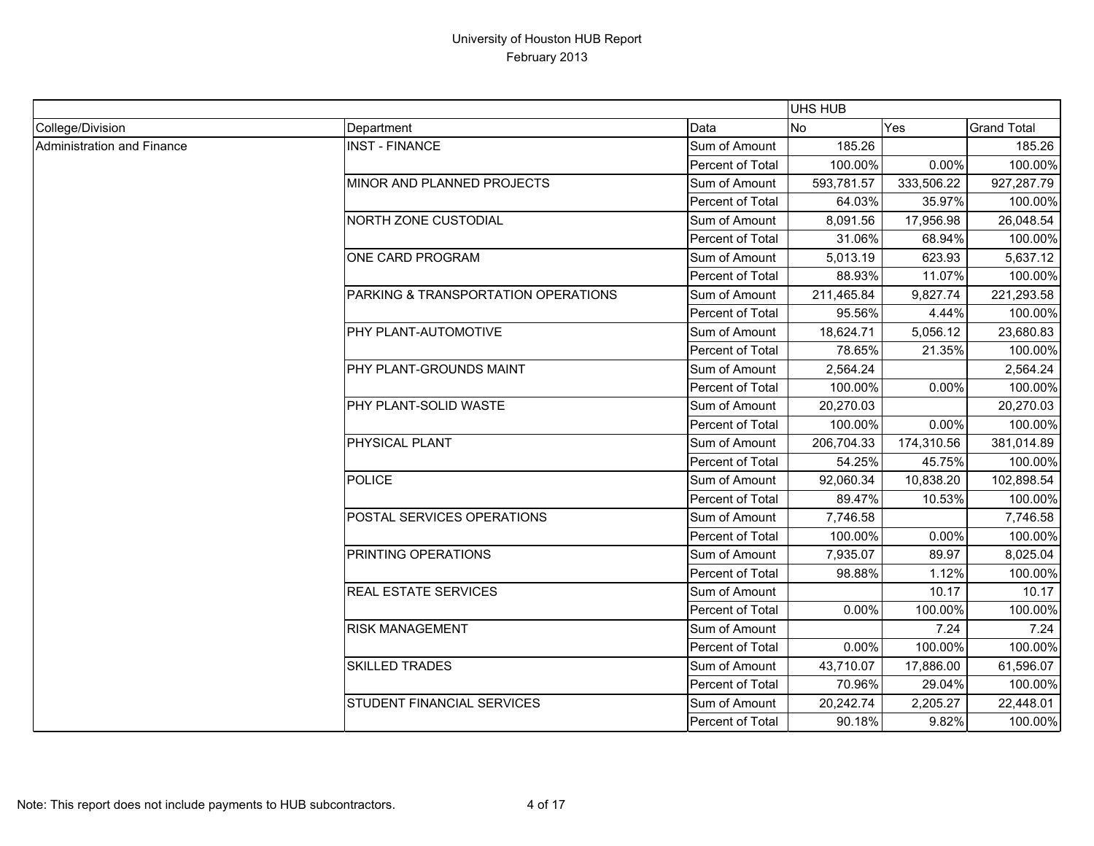|                            |                                     |                  | <b>UHS HUB</b> |            |                    |
|----------------------------|-------------------------------------|------------------|----------------|------------|--------------------|
| College/Division           | Department                          | Data             | <b>No</b>      | Yes        | <b>Grand Total</b> |
| Administration and Finance | <b>INST - FINANCE</b>               | Sum of Amount    | 185.26         |            | 185.26             |
|                            |                                     | Percent of Total | 100.00%        | 0.00%      | 100.00%            |
|                            | MINOR AND PLANNED PROJECTS          | Sum of Amount    | 593,781.57     | 333,506.22 | 927,287.79         |
|                            |                                     | Percent of Total | 64.03%         | 35.97%     | 100.00%            |
|                            | <b>NORTH ZONE CUSTODIAL</b>         | Sum of Amount    | 8,091.56       | 17,956.98  | 26,048.54          |
|                            |                                     | Percent of Total | 31.06%         | 68.94%     | 100.00%            |
|                            | ONE CARD PROGRAM                    | Sum of Amount    | 5,013.19       | 623.93     | 5,637.12           |
|                            |                                     | Percent of Total | 88.93%         | 11.07%     | 100.00%            |
|                            | PARKING & TRANSPORTATION OPERATIONS | Sum of Amount    | 211,465.84     | 9,827.74   | 221,293.58         |
|                            |                                     | Percent of Total | 95.56%         | 4.44%      | 100.00%            |
|                            | PHY PLANT-AUTOMOTIVE                | Sum of Amount    | 18,624.71      | 5,056.12   | 23,680.83          |
|                            |                                     | Percent of Total | 78.65%         | 21.35%     | 100.00%            |
|                            | PHY PLANT-GROUNDS MAINT             | Sum of Amount    | 2,564.24       |            | 2,564.24           |
|                            |                                     | Percent of Total | 100.00%        | 0.00%      | 100.00%            |
|                            | PHY PLANT-SOLID WASTE               | Sum of Amount    | 20,270.03      |            | 20,270.03          |
|                            |                                     | Percent of Total | 100.00%        | 0.00%      | 100.00%            |
|                            | PHYSICAL PLANT                      | Sum of Amount    | 206,704.33     | 174,310.56 | 381,014.89         |
|                            |                                     | Percent of Total | 54.25%         | 45.75%     | 100.00%            |
|                            | <b>POLICE</b>                       | Sum of Amount    | 92,060.34      | 10,838.20  | 102,898.54         |
|                            |                                     | Percent of Total | 89.47%         | 10.53%     | 100.00%            |
|                            | POSTAL SERVICES OPERATIONS          | Sum of Amount    | 7,746.58       |            | 7,746.58           |
|                            |                                     | Percent of Total | 100.00%        | 0.00%      | 100.00%            |
|                            | PRINTING OPERATIONS                 | Sum of Amount    | 7,935.07       | 89.97      | 8,025.04           |
|                            |                                     | Percent of Total | 98.88%         | 1.12%      | 100.00%            |
|                            | <b>REAL ESTATE SERVICES</b>         | Sum of Amount    |                | 10.17      | 10.17              |
|                            |                                     | Percent of Total | 0.00%          | 100.00%    | 100.00%            |
|                            | <b>RISK MANAGEMENT</b>              | Sum of Amount    |                | 7.24       | 7.24               |
|                            |                                     | Percent of Total | 0.00%          | 100.00%    | 100.00%            |
|                            | <b>SKILLED TRADES</b>               | Sum of Amount    | 43,710.07      | 17,886.00  | 61,596.07          |
|                            |                                     | Percent of Total | 70.96%         | 29.04%     | 100.00%            |
|                            | <b>STUDENT FINANCIAL SERVICES</b>   | Sum of Amount    | 20,242.74      | 2,205.27   | 22,448.01          |
|                            |                                     | Percent of Total | 90.18%         | 9.82%      | 100.00%            |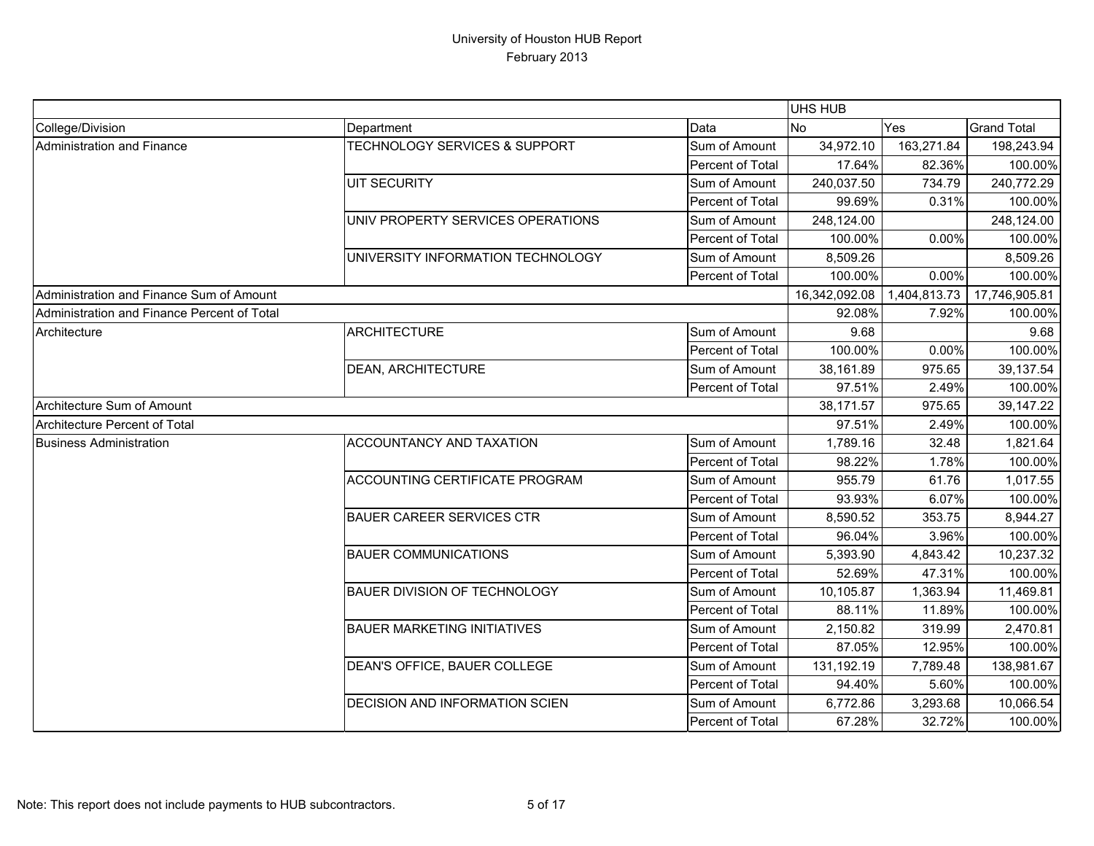|                                             |                                          |                  | UHS HUB       |              |                    |
|---------------------------------------------|------------------------------------------|------------------|---------------|--------------|--------------------|
| College/Division                            | Department                               | Data             | <b>No</b>     | Yes          | <b>Grand Total</b> |
| Administration and Finance                  | <b>TECHNOLOGY SERVICES &amp; SUPPORT</b> | Sum of Amount    | 34,972.10     | 163,271.84   | 198,243.94         |
|                                             |                                          | Percent of Total | 17.64%        | 82.36%       | 100.00%            |
|                                             | <b>UIT SECURITY</b>                      | Sum of Amount    | 240,037.50    | 734.79       | 240,772.29         |
|                                             |                                          | Percent of Total | 99.69%        | 0.31%        | 100.00%            |
|                                             | UNIV PROPERTY SERVICES OPERATIONS        | Sum of Amount    | 248,124.00    |              | 248,124.00         |
|                                             |                                          | Percent of Total | 100.00%       | 0.00%        | 100.00%            |
|                                             | UNIVERSITY INFORMATION TECHNOLOGY        | Sum of Amount    | 8,509.26      |              | 8,509.26           |
|                                             |                                          | Percent of Total | 100.00%       | 0.00%        | 100.00%            |
| Administration and Finance Sum of Amount    |                                          |                  | 16,342,092.08 | 1,404,813.73 | 17,746,905.81      |
| Administration and Finance Percent of Total |                                          |                  | 92.08%        | 7.92%        | 100.00%            |
| Architecture                                | <b>ARCHITECTURE</b>                      | Sum of Amount    | 9.68          |              | 9.68               |
|                                             |                                          | Percent of Total | 100.00%       | 0.00%        | 100.00%            |
|                                             | <b>DEAN, ARCHITECTURE</b>                | Sum of Amount    | 38,161.89     | 975.65       | 39, 137.54         |
|                                             |                                          | Percent of Total | 97.51%        | 2.49%        | 100.00%            |
| Architecture Sum of Amount                  |                                          |                  | 38,171.57     | 975.65       | 39,147.22          |
| Architecture Percent of Total               |                                          |                  | 97.51%        | 2.49%        | 100.00%            |
| <b>Business Administration</b>              | <b>ACCOUNTANCY AND TAXATION</b>          | Sum of Amount    | 1,789.16      | 32.48        | 1,821.64           |
|                                             |                                          | Percent of Total | 98.22%        | 1.78%        | 100.00%            |
|                                             | <b>ACCOUNTING CERTIFICATE PROGRAM</b>    | Sum of Amount    | 955.79        | 61.76        | 1,017.55           |
|                                             |                                          | Percent of Total | 93.93%        | 6.07%        | 100.00%            |
|                                             | <b>BAUER CAREER SERVICES CTR</b>         | Sum of Amount    | 8,590.52      | 353.75       | 8,944.27           |
|                                             |                                          | Percent of Total | 96.04%        | 3.96%        | 100.00%            |
|                                             | <b>BAUER COMMUNICATIONS</b>              | Sum of Amount    | 5,393.90      | 4,843.42     | 10,237.32          |
|                                             |                                          | Percent of Total | 52.69%        | 47.31%       | 100.00%            |
|                                             | <b>BAUER DIVISION OF TECHNOLOGY</b>      | Sum of Amount    | 10,105.87     | 1,363.94     | 11,469.81          |
|                                             |                                          | Percent of Total | 88.11%        | 11.89%       | 100.00%            |
|                                             | <b>BAUER MARKETING INITIATIVES</b>       | Sum of Amount    | 2,150.82      | 319.99       | 2,470.81           |
|                                             |                                          | Percent of Total | 87.05%        | 12.95%       | 100.00%            |
|                                             | DEAN'S OFFICE, BAUER COLLEGE             | Sum of Amount    | 131,192.19    | 7,789.48     | 138,981.67         |
|                                             |                                          | Percent of Total | 94.40%        | 5.60%        | 100.00%            |
|                                             | <b>DECISION AND INFORMATION SCIEN</b>    | Sum of Amount    | 6,772.86      | 3,293.68     | 10,066.54          |
|                                             |                                          | Percent of Total | 67.28%        | 32.72%       | 100.00%            |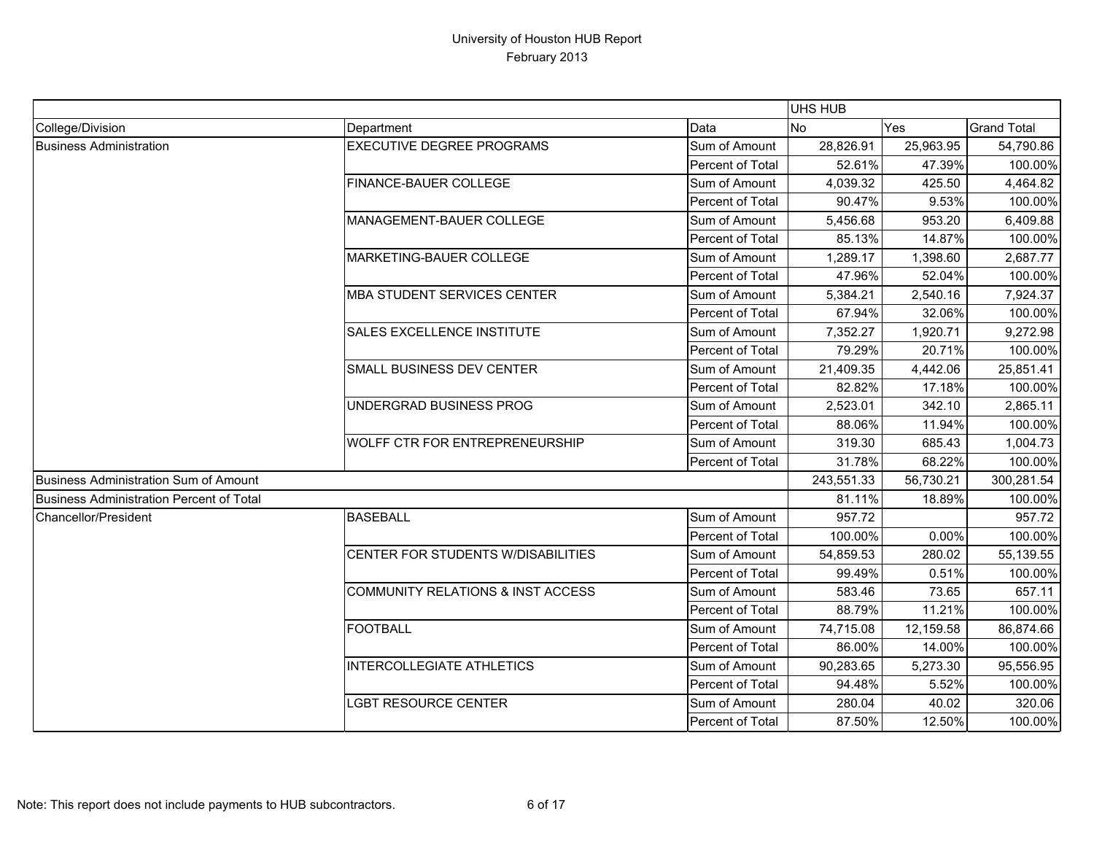|                                                 |                                              |                  | <b>UHS HUB</b> |           |                    |
|-------------------------------------------------|----------------------------------------------|------------------|----------------|-----------|--------------------|
| College/Division                                | Department                                   | Data             | No             | Yes       | <b>Grand Total</b> |
| <b>Business Administration</b>                  | <b>EXECUTIVE DEGREE PROGRAMS</b>             | Sum of Amount    | 28,826.91      | 25,963.95 | 54,790.86          |
|                                                 |                                              | Percent of Total | 52.61%         | 47.39%    | 100.00%            |
|                                                 | FINANCE-BAUER COLLEGE                        | Sum of Amount    | 4,039.32       | 425.50    | 4,464.82           |
|                                                 |                                              | Percent of Total | 90.47%         | 9.53%     | 100.00%            |
|                                                 | MANAGEMENT-BAUER COLLEGE                     | Sum of Amount    | 5,456.68       | 953.20    | 6,409.88           |
|                                                 |                                              | Percent of Total | 85.13%         | 14.87%    | 100.00%            |
|                                                 | MARKETING-BAUER COLLEGE                      | Sum of Amount    | 1,289.17       | 1,398.60  | 2,687.77           |
|                                                 |                                              | Percent of Total | 47.96%         | 52.04%    | 100.00%            |
|                                                 | <b>MBA STUDENT SERVICES CENTER</b>           | Sum of Amount    | 5,384.21       | 2,540.16  | 7,924.37           |
|                                                 |                                              | Percent of Total | 67.94%         | 32.06%    | 100.00%            |
|                                                 | <b>SALES EXCELLENCE INSTITUTE</b>            | Sum of Amount    | 7,352.27       | 1,920.71  | 9,272.98           |
|                                                 |                                              | Percent of Total | 79.29%         | 20.71%    | 100.00%            |
|                                                 | <b>SMALL BUSINESS DEV CENTER</b>             | Sum of Amount    | 21,409.35      | 4,442.06  | 25,851.41          |
|                                                 |                                              | Percent of Total | 82.82%         | 17.18%    | 100.00%            |
|                                                 | UNDERGRAD BUSINESS PROG                      | Sum of Amount    | 2,523.01       | 342.10    | 2,865.11           |
|                                                 |                                              | Percent of Total | 88.06%         | 11.94%    | 100.00%            |
|                                                 | <b>WOLFF CTR FOR ENTREPRENEURSHIP</b>        | Sum of Amount    | 319.30         | 685.43    | 1,004.73           |
|                                                 |                                              | Percent of Total | 31.78%         | 68.22%    | 100.00%            |
| Business Administration Sum of Amount           |                                              |                  | 243,551.33     | 56,730.21 | 300,281.54         |
| <b>Business Administration Percent of Total</b> |                                              |                  | 81.11%         | 18.89%    | 100.00%            |
| Chancellor/President                            | <b>BASEBALL</b>                              | Sum of Amount    | 957.72         |           | 957.72             |
|                                                 |                                              | Percent of Total | 100.00%        | 0.00%     | 100.00%            |
|                                                 | CENTER FOR STUDENTS W/DISABILITIES           | Sum of Amount    | 54,859.53      | 280.02    | 55,139.55          |
|                                                 |                                              | Percent of Total | 99.49%         | 0.51%     | 100.00%            |
|                                                 | <b>COMMUNITY RELATIONS &amp; INST ACCESS</b> | Sum of Amount    | 583.46         | 73.65     | 657.11             |
|                                                 |                                              | Percent of Total | 88.79%         | 11.21%    | 100.00%            |
|                                                 | <b>FOOTBALL</b>                              | Sum of Amount    | 74,715.08      | 12,159.58 | 86,874.66          |
|                                                 |                                              | Percent of Total | 86.00%         | 14.00%    | 100.00%            |
|                                                 | <b>INTERCOLLEGIATE ATHLETICS</b>             | Sum of Amount    | 90,283.65      | 5,273.30  | 95,556.95          |
|                                                 |                                              | Percent of Total | 94.48%         | 5.52%     | 100.00%            |
|                                                 | <b>GBT RESOURCE CENTER</b>                   | Sum of Amount    | 280.04         | 40.02     | 320.06             |
|                                                 |                                              | Percent of Total | 87.50%         | 12.50%    | 100.00%            |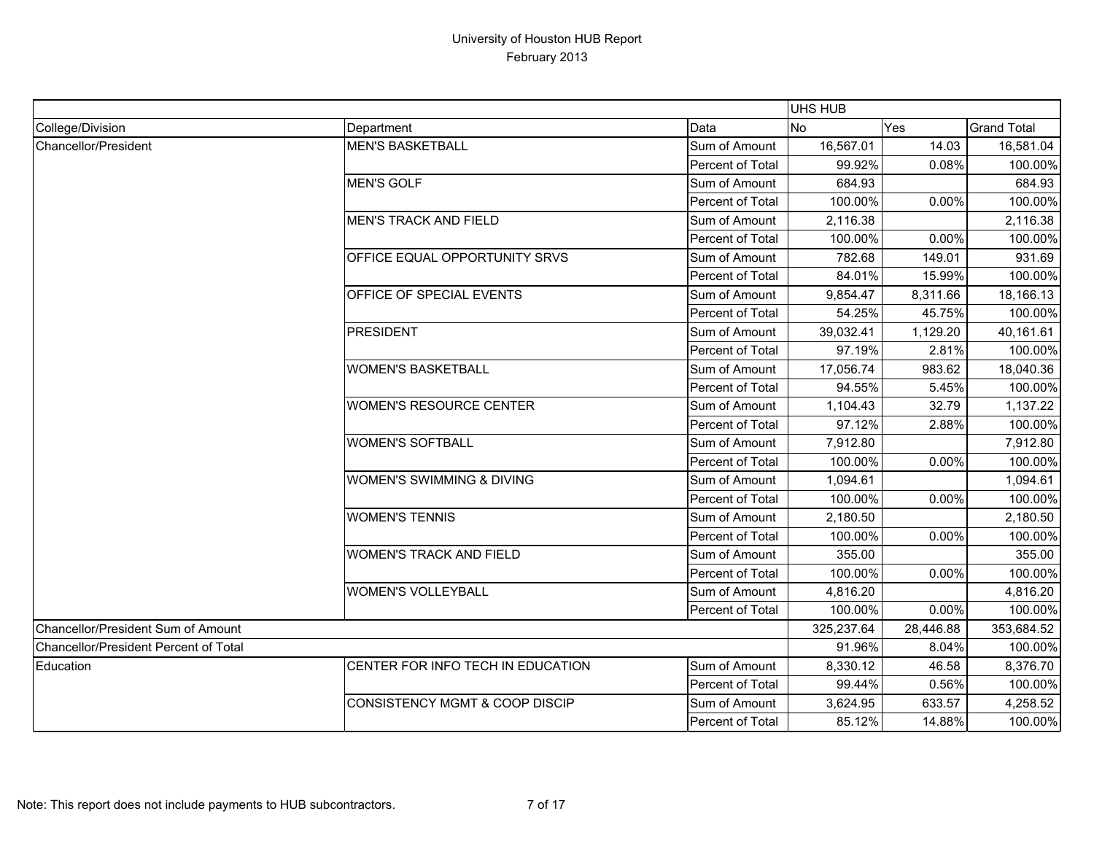|                                       |                                           |                  | UHS HUB    |           |                    |
|---------------------------------------|-------------------------------------------|------------------|------------|-----------|--------------------|
| College/Division                      | Department                                | Data             | <b>No</b>  | Yes       | <b>Grand Total</b> |
| Chancellor/President                  | <b>MEN'S BASKETBALL</b>                   | Sum of Amount    | 16,567.01  | 14.03     | 16,581.04          |
|                                       |                                           | Percent of Total | 99.92%     | 0.08%     | 100.00%            |
|                                       | <b>MEN'S GOLF</b>                         | Sum of Amount    | 684.93     |           | 684.93             |
|                                       |                                           | Percent of Total | 100.00%    | 0.00%     | 100.00%            |
|                                       | <b>MEN'S TRACK AND FIELD</b>              | Sum of Amount    | 2,116.38   |           | 2,116.38           |
|                                       |                                           | Percent of Total | 100.00%    | 0.00%     | 100.00%            |
|                                       | <b>OFFICE EQUAL OPPORTUNITY SRVS</b>      | Sum of Amount    | 782.68     | 149.01    | 931.69             |
|                                       |                                           | Percent of Total | 84.01%     | 15.99%    | 100.00%            |
|                                       | OFFICE OF SPECIAL EVENTS                  | Sum of Amount    | 9,854.47   | 8,311.66  | 18,166.13          |
|                                       |                                           | Percent of Total | 54.25%     | 45.75%    | 100.00%            |
|                                       | <b>PRESIDENT</b>                          | Sum of Amount    | 39,032.41  | 1,129.20  | 40,161.61          |
|                                       |                                           | Percent of Total | 97.19%     | 2.81%     | 100.00%            |
|                                       | <b>WOMEN'S BASKETBALL</b>                 | Sum of Amount    | 17,056.74  | 983.62    | 18,040.36          |
|                                       |                                           | Percent of Total | 94.55%     | 5.45%     | 100.00%            |
|                                       | <b>WOMEN'S RESOURCE CENTER</b>            | Sum of Amount    | 1,104.43   | 32.79     | 1,137.22           |
|                                       |                                           | Percent of Total | 97.12%     | 2.88%     | 100.00%            |
|                                       | <b>WOMEN'S SOFTBALL</b>                   | Sum of Amount    | 7,912.80   |           | 7,912.80           |
|                                       |                                           | Percent of Total | 100.00%    | 0.00%     | 100.00%            |
|                                       | <b>WOMEN'S SWIMMING &amp; DIVING</b>      | Sum of Amount    | 1,094.61   |           | 1,094.61           |
|                                       |                                           | Percent of Total | 100.00%    | 0.00%     | 100.00%            |
|                                       | <b>WOMEN'S TENNIS</b>                     | Sum of Amount    | 2,180.50   |           | 2,180.50           |
|                                       |                                           | Percent of Total | 100.00%    | 0.00%     | 100.00%            |
|                                       | <b>WOMEN'S TRACK AND FIELD</b>            | Sum of Amount    | 355.00     |           | 355.00             |
|                                       |                                           | Percent of Total | 100.00%    | 0.00%     | 100.00%            |
|                                       | <b>WOMEN'S VOLLEYBALL</b>                 | Sum of Amount    | 4,816.20   |           | 4,816.20           |
|                                       |                                           | Percent of Total | 100.00%    | 0.00%     | 100.00%            |
| Chancellor/President Sum of Amount    |                                           |                  | 325,237.64 | 28,446.88 | 353,684.52         |
| Chancellor/President Percent of Total |                                           |                  | 91.96%     | 8.04%     | 100.00%            |
| Education                             | CENTER FOR INFO TECH IN EDUCATION         | Sum of Amount    | 8,330.12   | 46.58     | 8,376.70           |
|                                       |                                           | Percent of Total | 99.44%     | 0.56%     | 100.00%            |
|                                       | <b>CONSISTENCY MGMT &amp; COOP DISCIP</b> | Sum of Amount    | 3,624.95   | 633.57    | 4,258.52           |
|                                       |                                           | Percent of Total | 85.12%     | 14.88%    | 100.00%            |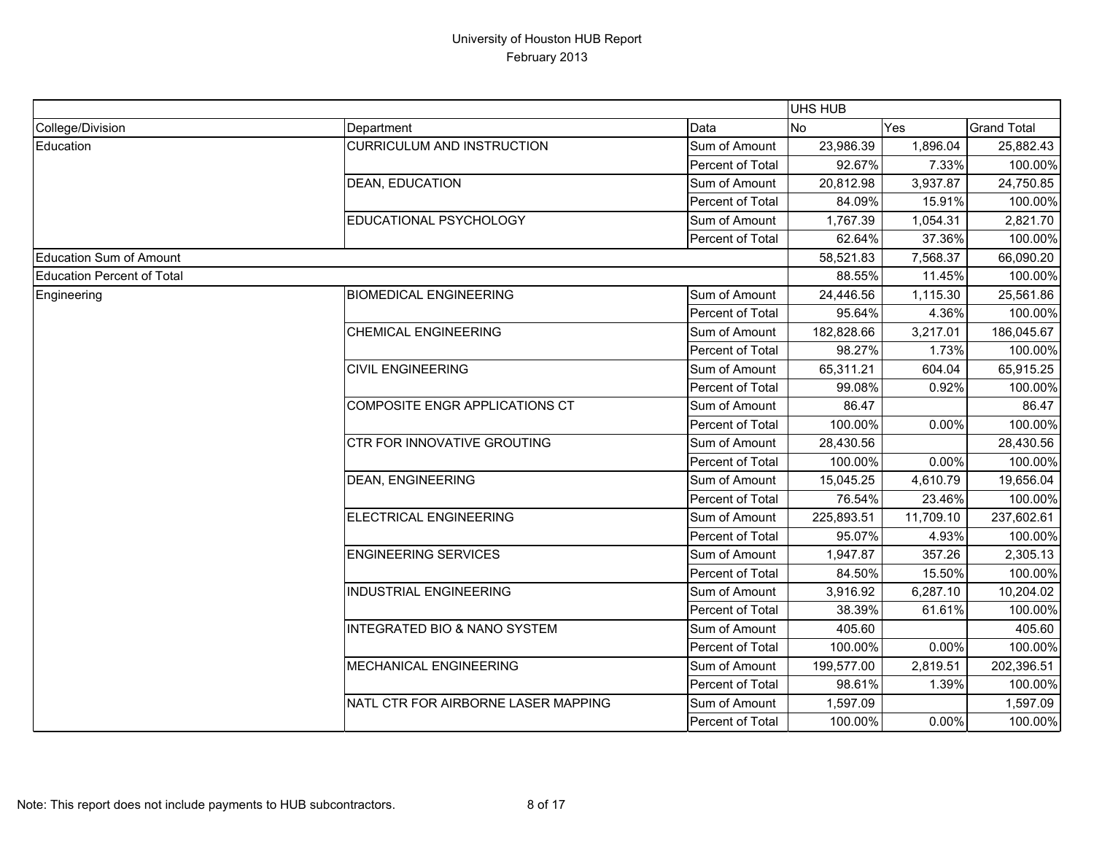|                            |                                         |                  | UHS HUB    |           |                    |
|----------------------------|-----------------------------------------|------------------|------------|-----------|--------------------|
| College/Division           | Department                              | Data             | <b>No</b>  | Yes       | <b>Grand Total</b> |
| Education                  | <b>CURRICULUM AND INSTRUCTION</b>       | Sum of Amount    | 23,986.39  | 1,896.04  | 25,882.43          |
|                            |                                         | Percent of Total | 92.67%     | 7.33%     | 100.00%            |
|                            | DEAN, EDUCATION                         | Sum of Amount    | 20,812.98  | 3,937.87  | 24,750.85          |
|                            |                                         | Percent of Total | 84.09%     | 15.91%    | 100.00%            |
|                            | EDUCATIONAL PSYCHOLOGY                  | Sum of Amount    | 1,767.39   | 1,054.31  | 2,821.70           |
|                            |                                         | Percent of Total | 62.64%     | 37.36%    | 100.00%            |
| Education Sum of Amount    |                                         |                  | 58,521.83  | 7,568.37  | 66,090.20          |
| Education Percent of Total |                                         |                  | 88.55%     | 11.45%    | 100.00%            |
| Engineering                | <b>BIOMEDICAL ENGINEERING</b>           | Sum of Amount    | 24,446.56  | 1,115.30  | 25,561.86          |
|                            |                                         | Percent of Total | 95.64%     | 4.36%     | 100.00%            |
|                            | <b>CHEMICAL ENGINEERING</b>             | Sum of Amount    | 182,828.66 | 3,217.01  | 186,045.67         |
|                            |                                         | Percent of Total | 98.27%     | 1.73%     | 100.00%            |
|                            | <b>CIVIL ENGINEERING</b>                | Sum of Amount    | 65,311.21  | 604.04    | 65,915.25          |
|                            |                                         | Percent of Total | 99.08%     | 0.92%     | 100.00%            |
|                            | <b>COMPOSITE ENGR APPLICATIONS CT</b>   | Sum of Amount    | 86.47      |           | 86.47              |
|                            |                                         | Percent of Total | 100.00%    | 0.00%     | 100.00%            |
|                            | CTR FOR INNOVATIVE GROUTING             | Sum of Amount    | 28,430.56  |           | 28,430.56          |
|                            |                                         | Percent of Total | 100.00%    | 0.00%     | 100.00%            |
|                            | <b>DEAN, ENGINEERING</b>                | Sum of Amount    | 15,045.25  | 4,610.79  | 19,656.04          |
|                            |                                         | Percent of Total | 76.54%     | 23.46%    | 100.00%            |
|                            | ELECTRICAL ENGINEERING                  | Sum of Amount    | 225,893.51 | 11,709.10 | 237,602.61         |
|                            |                                         | Percent of Total | 95.07%     | 4.93%     | 100.00%            |
|                            | <b>ENGINEERING SERVICES</b>             | Sum of Amount    | 1,947.87   | 357.26    | 2,305.13           |
|                            |                                         | Percent of Total | 84.50%     | 15.50%    | 100.00%            |
|                            | <b>INDUSTRIAL ENGINEERING</b>           | Sum of Amount    | 3,916.92   | 6,287.10  | 10,204.02          |
|                            |                                         | Percent of Total | 38.39%     | 61.61%    | 100.00%            |
|                            | <b>INTEGRATED BIO &amp; NANO SYSTEM</b> | Sum of Amount    | 405.60     |           | 405.60             |
|                            |                                         | Percent of Total | 100.00%    | $0.00\%$  | 100.00%            |
|                            | MECHANICAL ENGINEERING                  | Sum of Amount    | 199,577.00 | 2,819.51  | 202,396.51         |
|                            |                                         | Percent of Total | 98.61%     | 1.39%     | 100.00%            |
|                            | NATL CTR FOR AIRBORNE LASER MAPPING     | Sum of Amount    | 1,597.09   |           | 1,597.09           |
|                            |                                         | Percent of Total | 100.00%    | 0.00%     | 100.00%            |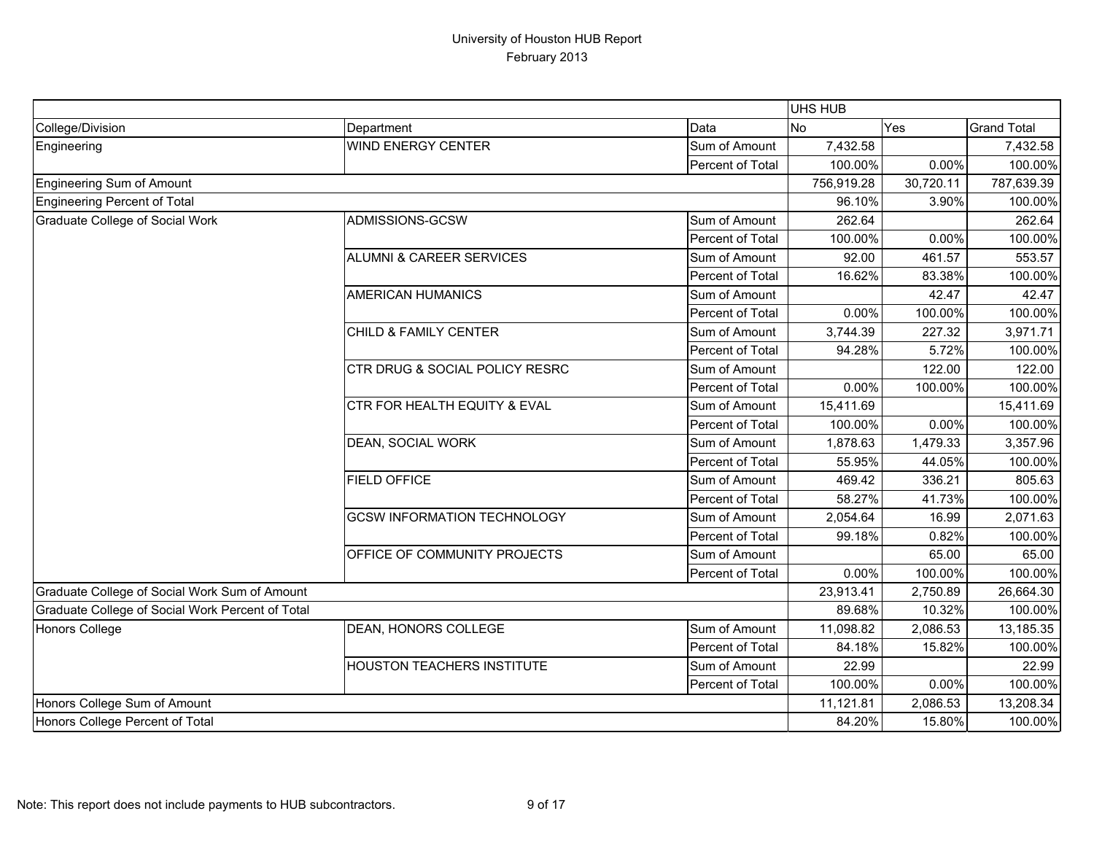|                                                  |                                           |                  | UHS HUB    |           |                    |
|--------------------------------------------------|-------------------------------------------|------------------|------------|-----------|--------------------|
| College/Division                                 | Department                                | Data             | No         | Yes       | <b>Grand Total</b> |
| Engineering                                      | <b>WIND ENERGY CENTER</b>                 | Sum of Amount    | 7,432.58   |           | 7,432.58           |
|                                                  |                                           | Percent of Total | 100.00%    | 0.00%     | 100.00%            |
| Engineering Sum of Amount                        |                                           |                  | 756,919.28 | 30,720.11 | 787,639.39         |
| Engineering Percent of Total                     |                                           |                  | 96.10%     | 3.90%     | 100.00%            |
| <b>Graduate College of Social Work</b>           | ADMISSIONS-GCSW                           | Sum of Amount    | 262.64     |           | 262.64             |
|                                                  |                                           | Percent of Total | 100.00%    | 0.00%     | 100.00%            |
|                                                  | <b>ALUMNI &amp; CAREER SERVICES</b>       | Sum of Amount    | 92.00      | 461.57    | 553.57             |
|                                                  |                                           | Percent of Total | 16.62%     | 83.38%    | 100.00%            |
|                                                  | <b>AMERICAN HUMANICS</b>                  | Sum of Amount    |            | 42.47     | 42.47              |
|                                                  |                                           | Percent of Total | 0.00%      | 100.00%   | 100.00%            |
|                                                  | CHILD & FAMILY CENTER                     | Sum of Amount    | 3,744.39   | 227.32    | 3,971.71           |
|                                                  |                                           | Percent of Total | 94.28%     | 5.72%     | 100.00%            |
|                                                  | <b>CTR DRUG &amp; SOCIAL POLICY RESRC</b> | Sum of Amount    |            | 122.00    | 122.00             |
|                                                  |                                           | Percent of Total | 0.00%      | 100.00%   | 100.00%            |
|                                                  | <b>CTR FOR HEALTH EQUITY &amp; EVAL</b>   | Sum of Amount    | 15,411.69  |           | 15,411.69          |
|                                                  |                                           | Percent of Total | 100.00%    | 0.00%     | 100.00%            |
|                                                  | DEAN, SOCIAL WORK                         | Sum of Amount    | 1,878.63   | 1,479.33  | 3,357.96           |
|                                                  |                                           | Percent of Total | 55.95%     | 44.05%    | 100.00%            |
|                                                  | <b>FIELD OFFICE</b>                       | Sum of Amount    | 469.42     | 336.21    | 805.63             |
|                                                  |                                           | Percent of Total | 58.27%     | 41.73%    | 100.00%            |
|                                                  | <b>GCSW INFORMATION TECHNOLOGY</b>        | Sum of Amount    | 2,054.64   | 16.99     | 2,071.63           |
|                                                  |                                           | Percent of Total | 99.18%     | 0.82%     | 100.00%            |
|                                                  | OFFICE OF COMMUNITY PROJECTS              | Sum of Amount    |            | 65.00     | 65.00              |
|                                                  |                                           | Percent of Total | 0.00%      | 100.00%   | 100.00%            |
| Graduate College of Social Work Sum of Amount    |                                           |                  | 23,913.41  | 2,750.89  | 26,664.30          |
| Graduate College of Social Work Percent of Total |                                           |                  | 89.68%     | 10.32%    | 100.00%            |
| Honors College                                   | DEAN, HONORS COLLEGE                      | Sum of Amount    | 11,098.82  | 2,086.53  | 13,185.35          |
|                                                  |                                           | Percent of Total | 84.18%     | 15.82%    | 100.00%            |
|                                                  | <b>HOUSTON TEACHERS INSTITUTE</b>         | Sum of Amount    | 22.99      |           | 22.99              |
|                                                  |                                           | Percent of Total | 100.00%    | 0.00%     | 100.00%            |
| Honors College Sum of Amount                     |                                           |                  | 11,121.81  | 2,086.53  | 13,208.34          |
| Honors College Percent of Total                  |                                           |                  | 84.20%     | 15.80%    | 100.00%            |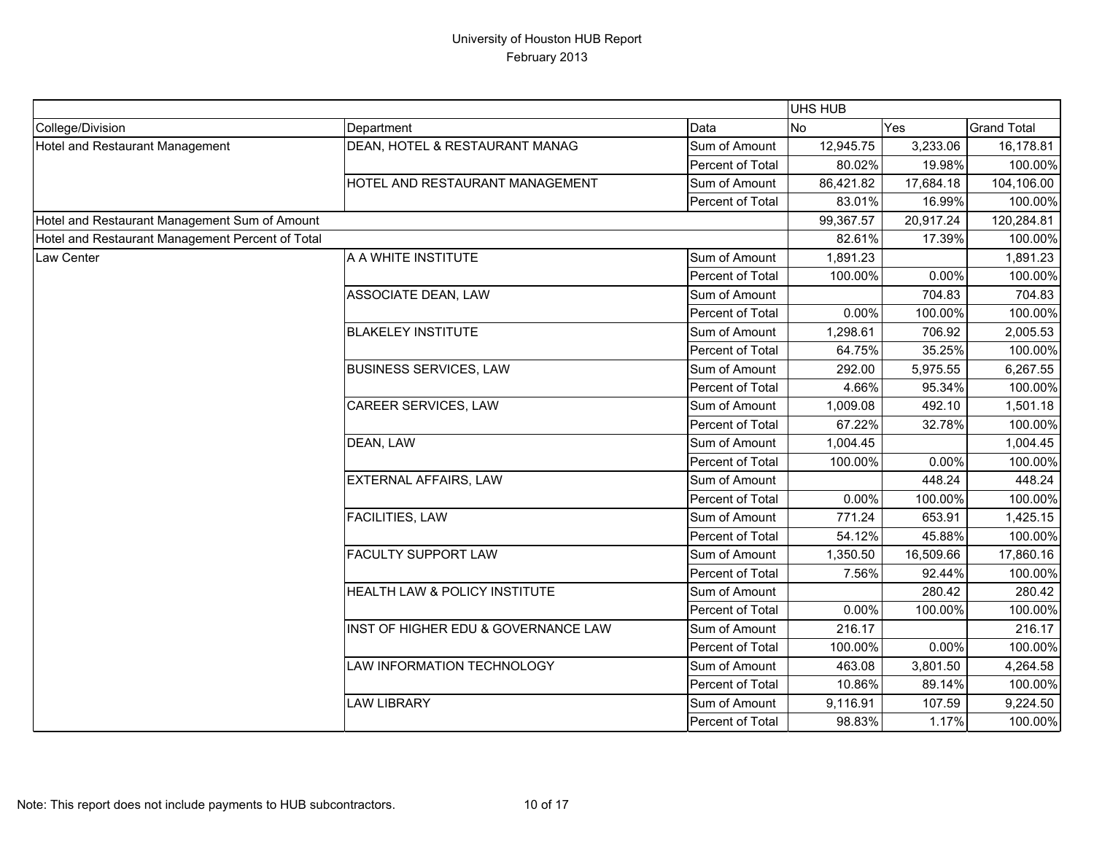|                                                  |                                     |                  | UHS HUB   |           |                    |
|--------------------------------------------------|-------------------------------------|------------------|-----------|-----------|--------------------|
| College/Division                                 | Department                          | Data             | <b>No</b> | Yes       | <b>Grand Total</b> |
| Hotel and Restaurant Management                  | DEAN, HOTEL & RESTAURANT MANAG      | Sum of Amount    | 12,945.75 | 3,233.06  | 16,178.81          |
|                                                  |                                     | Percent of Total | 80.02%    | 19.98%    | 100.00%            |
|                                                  | HOTEL AND RESTAURANT MANAGEMENT     | Sum of Amount    | 86,421.82 | 17,684.18 | 104,106.00         |
|                                                  |                                     | Percent of Total | 83.01%    | 16.99%    | 100.00%            |
| Hotel and Restaurant Management Sum of Amount    |                                     |                  | 99,367.57 | 20,917.24 | 120,284.81         |
| Hotel and Restaurant Management Percent of Total |                                     |                  | 82.61%    | 17.39%    | 100.00%            |
| Law Center                                       | A A WHITE INSTITUTE                 | Sum of Amount    | 1,891.23  |           | 1,891.23           |
|                                                  |                                     | Percent of Total | 100.00%   | 0.00%     | 100.00%            |
|                                                  | <b>ASSOCIATE DEAN, LAW</b>          | Sum of Amount    |           | 704.83    | 704.83             |
|                                                  |                                     | Percent of Total | 0.00%     | 100.00%   | 100.00%            |
|                                                  | <b>BLAKELEY INSTITUTE</b>           | Sum of Amount    | 1,298.61  | 706.92    | 2,005.53           |
|                                                  |                                     | Percent of Total | 64.75%    | 35.25%    | 100.00%            |
|                                                  | <b>BUSINESS SERVICES, LAW</b>       | Sum of Amount    | 292.00    | 5,975.55  | 6,267.55           |
|                                                  |                                     | Percent of Total | 4.66%     | 95.34%    | 100.00%            |
|                                                  | CAREER SERVICES, LAW                | Sum of Amount    | 1,009.08  | 492.10    | 1,501.18           |
|                                                  |                                     | Percent of Total | 67.22%    | 32.78%    | 100.00%            |
|                                                  | DEAN, LAW                           | Sum of Amount    | 1,004.45  |           | 1,004.45           |
|                                                  |                                     | Percent of Total | 100.00%   | 0.00%     | 100.00%            |
|                                                  | <b>EXTERNAL AFFAIRS, LAW</b>        | Sum of Amount    |           | 448.24    | 448.24             |
|                                                  |                                     | Percent of Total | 0.00%     | 100.00%   | 100.00%            |
|                                                  | <b>FACILITIES, LAW</b>              | Sum of Amount    | 771.24    | 653.91    | 1,425.15           |
|                                                  |                                     | Percent of Total | 54.12%    | 45.88%    | 100.00%            |
|                                                  | <b>FACULTY SUPPORT LAW</b>          | Sum of Amount    | 1,350.50  | 16,509.66 | 17,860.16          |
|                                                  |                                     | Percent of Total | 7.56%     | 92.44%    | 100.00%            |
|                                                  | HEALTH LAW & POLICY INSTITUTE       | Sum of Amount    |           | 280.42    | 280.42             |
|                                                  |                                     | Percent of Total | 0.00%     | 100.00%   | 100.00%            |
|                                                  | INST OF HIGHER EDU & GOVERNANCE LAW | Sum of Amount    | 216.17    |           | 216.17             |
|                                                  |                                     | Percent of Total | 100.00%   | 0.00%     | 100.00%            |
|                                                  | LAW INFORMATION TECHNOLOGY          | Sum of Amount    | 463.08    | 3,801.50  | 4,264.58           |
|                                                  |                                     | Percent of Total | 10.86%    | 89.14%    | 100.00%            |
|                                                  | <b>LAW LIBRARY</b>                  | Sum of Amount    | 9,116.91  | 107.59    | 9,224.50           |
|                                                  |                                     | Percent of Total | 98.83%    | 1.17%     | 100.00%            |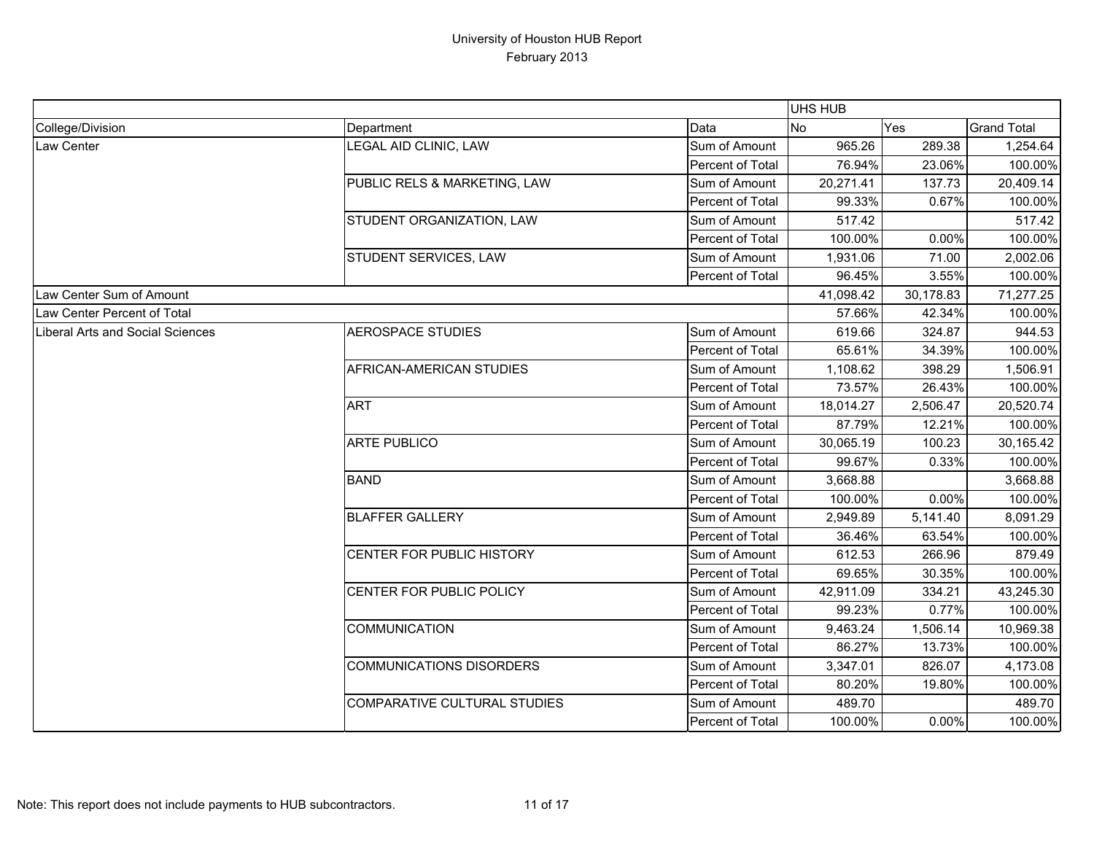|                                  |                                     |                  | UHS HUB   |           |                    |
|----------------------------------|-------------------------------------|------------------|-----------|-----------|--------------------|
| College/Division                 | Department                          | Data             | <b>No</b> | Yes       | <b>Grand Total</b> |
| Law Center                       | LEGAL AID CLINIC, LAW               | Sum of Amount    | 965.26    | 289.38    | 1,254.64           |
|                                  |                                     | Percent of Total | 76.94%    | 23.06%    | 100.00%            |
|                                  | PUBLIC RELS & MARKETING, LAW        | Sum of Amount    | 20,271.41 | 137.73    | 20,409.14          |
|                                  |                                     | Percent of Total | 99.33%    | 0.67%     | 100.00%            |
|                                  | STUDENT ORGANIZATION, LAW           | Sum of Amount    | 517.42    |           | 517.42             |
|                                  |                                     | Percent of Total | 100.00%   | 0.00%     | 100.00%            |
|                                  | STUDENT SERVICES, LAW               | Sum of Amount    | 1,931.06  | 71.00     | 2,002.06           |
|                                  |                                     | Percent of Total | 96.45%    | 3.55%     | 100.00%            |
| Law Center Sum of Amount         |                                     |                  | 41,098.42 | 30,178.83 | 71,277.25          |
| Law Center Percent of Total      |                                     |                  | 57.66%    | 42.34%    | 100.00%            |
| Liberal Arts and Social Sciences | <b>AEROSPACE STUDIES</b>            | Sum of Amount    | 619.66    | 324.87    | 944.53             |
|                                  |                                     | Percent of Total | 65.61%    | 34.39%    | 100.00%            |
|                                  | AFRICAN-AMERICAN STUDIES            | Sum of Amount    | 1,108.62  | 398.29    | 1,506.91           |
|                                  |                                     | Percent of Total | 73.57%    | 26.43%    | 100.00%            |
|                                  | <b>ART</b>                          | Sum of Amount    | 18,014.27 | 2,506.47  | 20,520.74          |
|                                  |                                     | Percent of Total | 87.79%    | 12.21%    | 100.00%            |
|                                  | <b>ARTE PUBLICO</b>                 | Sum of Amount    | 30,065.19 | 100.23    | 30,165.42          |
|                                  |                                     | Percent of Total | 99.67%    | 0.33%     | 100.00%            |
|                                  | <b>BAND</b>                         | Sum of Amount    | 3,668.88  |           | 3,668.88           |
|                                  |                                     | Percent of Total | 100.00%   | 0.00%     | 100.00%            |
|                                  | <b>BLAFFER GALLERY</b>              | Sum of Amount    | 2,949.89  | 5,141.40  | 8,091.29           |
|                                  |                                     | Percent of Total | 36.46%    | 63.54%    | 100.00%            |
|                                  | CENTER FOR PUBLIC HISTORY           | Sum of Amount    | 612.53    | 266.96    | 879.49             |
|                                  |                                     | Percent of Total | 69.65%    | 30.35%    | 100.00%            |
|                                  | CENTER FOR PUBLIC POLICY            | Sum of Amount    | 42,911.09 | 334.21    | 43,245.30          |
|                                  |                                     | Percent of Total | 99.23%    | 0.77%     | 100.00%            |
|                                  | <b>COMMUNICATION</b>                | Sum of Amount    | 9,463.24  | 1,506.14  | 10,969.38          |
|                                  |                                     | Percent of Total | 86.27%    | 13.73%    | 100.00%            |
|                                  | <b>COMMUNICATIONS DISORDERS</b>     | Sum of Amount    | 3,347.01  | 826.07    | 4,173.08           |
|                                  |                                     | Percent of Total | 80.20%    | 19.80%    | 100.00%            |
|                                  | <b>COMPARATIVE CULTURAL STUDIES</b> | Sum of Amount    | 489.70    |           | 489.70             |
|                                  |                                     | Percent of Total | 100.00%   | $0.00\%$  | 100.00%            |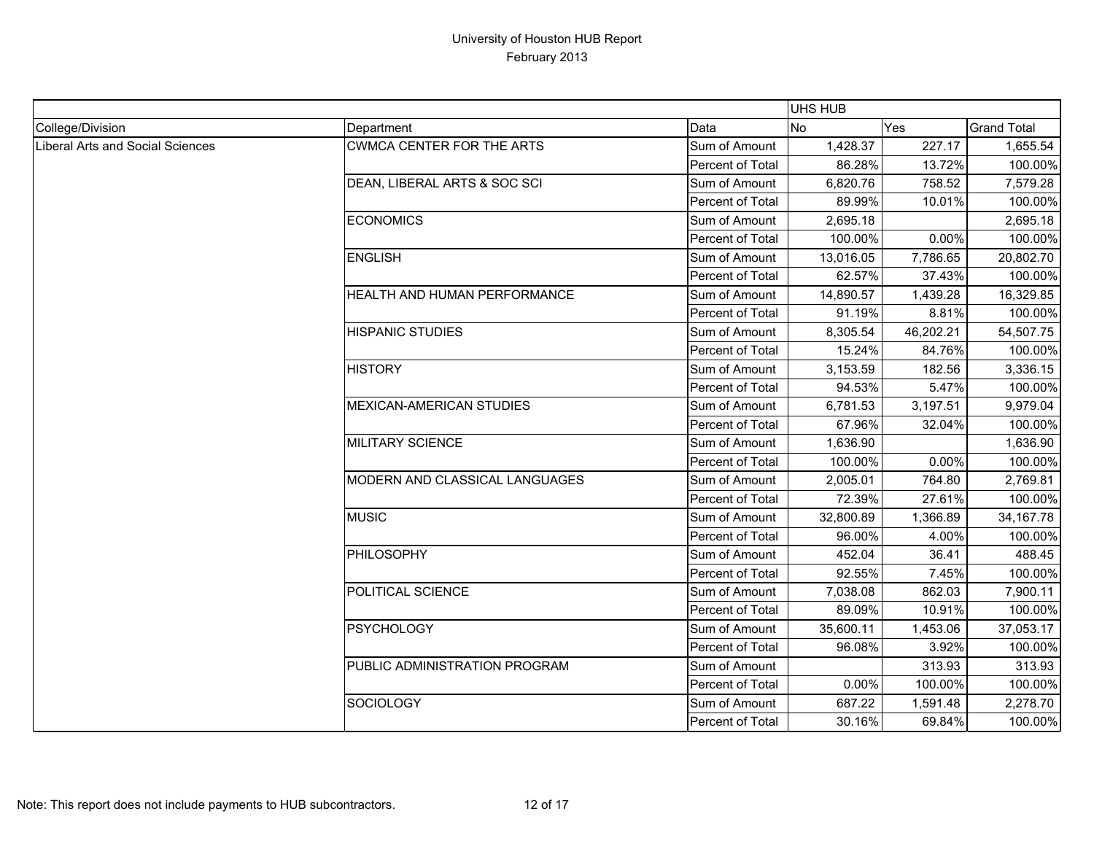|                                  |                                  |                  | <b>UHS HUB</b> |           |                    |
|----------------------------------|----------------------------------|------------------|----------------|-----------|--------------------|
| College/Division                 | Department                       | Data             | <b>No</b>      | Yes       | <b>Grand Total</b> |
| Liberal Arts and Social Sciences | <b>CWMCA CENTER FOR THE ARTS</b> | Sum of Amount    | 1,428.37       | 227.17    | 1,655.54           |
|                                  |                                  | Percent of Total | 86.28%         | 13.72%    | 100.00%            |
|                                  | DEAN, LIBERAL ARTS & SOC SCI     | Sum of Amount    | 6,820.76       | 758.52    | 7,579.28           |
|                                  |                                  | Percent of Total | 89.99%         | 10.01%    | 100.00%            |
|                                  | <b>ECONOMICS</b>                 | Sum of Amount    | 2,695.18       |           | 2,695.18           |
|                                  |                                  | Percent of Total | 100.00%        | 0.00%     | 100.00%            |
|                                  | <b>ENGLISH</b>                   | Sum of Amount    | 13,016.05      | 7,786.65  | 20,802.70          |
|                                  |                                  | Percent of Total | 62.57%         | 37.43%    | 100.00%            |
|                                  | HEALTH AND HUMAN PERFORMANCE     | Sum of Amount    | 14,890.57      | 1,439.28  | 16,329.85          |
|                                  |                                  | Percent of Total | 91.19%         | 8.81%     | 100.00%            |
|                                  | <b>HISPANIC STUDIES</b>          | Sum of Amount    | 8,305.54       | 46,202.21 | 54,507.75          |
|                                  |                                  | Percent of Total | 15.24%         | 84.76%    | 100.00%            |
|                                  | <b>HISTORY</b>                   | Sum of Amount    | 3,153.59       | 182.56    | 3,336.15           |
|                                  |                                  | Percent of Total | 94.53%         | 5.47%     | 100.00%            |
|                                  | <b>MEXICAN-AMERICAN STUDIES</b>  | Sum of Amount    | 6,781.53       | 3,197.51  | 9,979.04           |
|                                  |                                  | Percent of Total | 67.96%         | 32.04%    | 100.00%            |
|                                  | <b>MILITARY SCIENCE</b>          | Sum of Amount    | 1,636.90       |           | 1,636.90           |
|                                  |                                  | Percent of Total | 100.00%        | 0.00%     | 100.00%            |
|                                  | MODERN AND CLASSICAL LANGUAGES   | Sum of Amount    | 2,005.01       | 764.80    | 2,769.81           |
|                                  |                                  | Percent of Total | 72.39%         | 27.61%    | 100.00%            |
|                                  | <b>MUSIC</b>                     | Sum of Amount    | 32,800.89      | 1,366.89  | 34, 167. 78        |
|                                  |                                  | Percent of Total | 96.00%         | 4.00%     | 100.00%            |
|                                  | <b>PHILOSOPHY</b>                | Sum of Amount    | 452.04         | 36.41     | 488.45             |
|                                  |                                  | Percent of Total | 92.55%         | 7.45%     | 100.00%            |
|                                  | POLITICAL SCIENCE                | Sum of Amount    | 7,038.08       | 862.03    | 7,900.11           |
|                                  |                                  | Percent of Total | 89.09%         | 10.91%    | 100.00%            |
|                                  | <b>PSYCHOLOGY</b>                | Sum of Amount    | 35,600.11      | 1,453.06  | 37,053.17          |
|                                  |                                  | Percent of Total | 96.08%         | 3.92%     | 100.00%            |
|                                  | PUBLIC ADMINISTRATION PROGRAM    | Sum of Amount    |                | 313.93    | 313.93             |
|                                  |                                  | Percent of Total | 0.00%          | 100.00%   | 100.00%            |
|                                  | <b>SOCIOLOGY</b>                 | Sum of Amount    | 687.22         | 1,591.48  | 2,278.70           |
|                                  |                                  | Percent of Total | 30.16%         | 69.84%    | 100.00%            |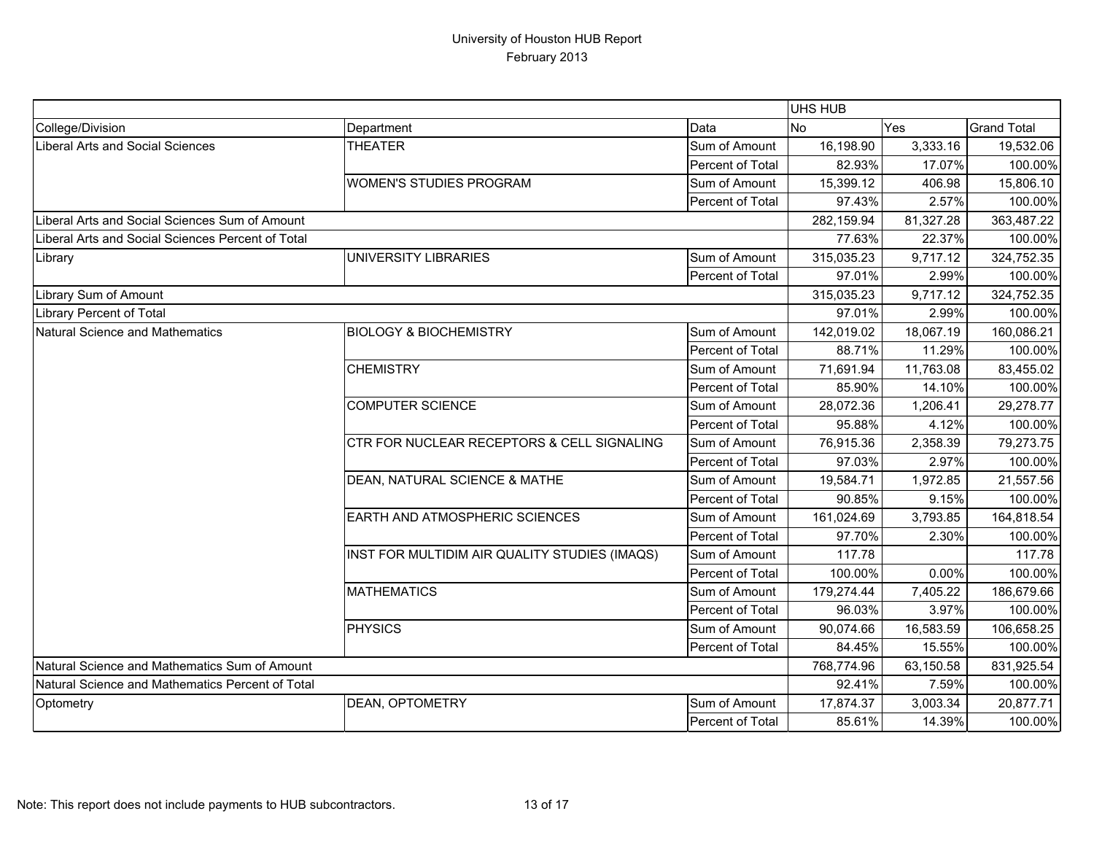|                                                   |                                               |                  | UHS HUB    |            |                    |
|---------------------------------------------------|-----------------------------------------------|------------------|------------|------------|--------------------|
| College/Division                                  | Department                                    | Data             | <b>No</b>  | Yes        | <b>Grand Total</b> |
| Liberal Arts and Social Sciences                  | <b>THEATER</b>                                | Sum of Amount    | 16,198.90  | 3,333.16   | 19,532.06          |
|                                                   |                                               | Percent of Total | 82.93%     | 17.07%     | 100.00%            |
|                                                   | <b>WOMEN'S STUDIES PROGRAM</b>                | Sum of Amount    | 15,399.12  | 406.98     | 15,806.10          |
|                                                   |                                               | Percent of Total | 97.43%     | 2.57%      | 100.00%            |
| Liberal Arts and Social Sciences Sum of Amount    |                                               | 282,159.94       | 81,327.28  | 363,487.22 |                    |
| Liberal Arts and Social Sciences Percent of Total |                                               | 77.63%           | 22.37%     | 100.00%    |                    |
| Library                                           | UNIVERSITY LIBRARIES                          | Sum of Amount    | 315,035.23 | 9,717.12   | 324,752.35         |
|                                                   |                                               | Percent of Total | 97.01%     | 2.99%      | 100.00%            |
| Library Sum of Amount                             |                                               |                  | 315,035.23 | 9,717.12   | 324,752.35         |
| <b>Library Percent of Total</b>                   |                                               |                  | 97.01%     | 2.99%      | 100.00%            |
| Natural Science and Mathematics                   | <b>BIOLOGY &amp; BIOCHEMISTRY</b>             | Sum of Amount    | 142,019.02 | 18,067.19  | 160,086.21         |
|                                                   |                                               | Percent of Total | 88.71%     | 11.29%     | 100.00%            |
|                                                   | <b>CHEMISTRY</b>                              | Sum of Amount    | 71,691.94  | 11,763.08  | 83,455.02          |
|                                                   |                                               | Percent of Total | 85.90%     | 14.10%     | 100.00%            |
|                                                   | <b>COMPUTER SCIENCE</b>                       | Sum of Amount    | 28,072.36  | 1,206.41   | 29,278.77          |
|                                                   |                                               | Percent of Total | 95.88%     | 4.12%      | 100.00%            |
|                                                   | CTR FOR NUCLEAR RECEPTORS & CELL SIGNALING    | Sum of Amount    | 76,915.36  | 2,358.39   | 79,273.75          |
|                                                   |                                               | Percent of Total | 97.03%     | 2.97%      | 100.00%            |
|                                                   | DEAN, NATURAL SCIENCE & MATHE                 | Sum of Amount    | 19,584.71  | 1,972.85   | 21,557.56          |
|                                                   |                                               | Percent of Total | 90.85%     | 9.15%      | 100.00%            |
|                                                   | EARTH AND ATMOSPHERIC SCIENCES                | Sum of Amount    | 161,024.69 | 3,793.85   | 164,818.54         |
|                                                   |                                               | Percent of Total | 97.70%     | 2.30%      | 100.00%            |
|                                                   | INST FOR MULTIDIM AIR QUALITY STUDIES (IMAQS) | Sum of Amount    | 117.78     |            | 117.78             |
|                                                   |                                               | Percent of Total | 100.00%    | 0.00%      | 100.00%            |
|                                                   | <b>MATHEMATICS</b>                            | Sum of Amount    | 179,274.44 | 7,405.22   | 186,679.66         |
|                                                   |                                               | Percent of Total | 96.03%     | 3.97%      | 100.00%            |
|                                                   | PHYSICS                                       | Sum of Amount    | 90,074.66  | 16,583.59  | 106,658.25         |
|                                                   |                                               | Percent of Total | 84.45%     | 15.55%     | 100.00%            |
| Natural Science and Mathematics Sum of Amount     |                                               | 768,774.96       | 63,150.58  | 831,925.54 |                    |
| Natural Science and Mathematics Percent of Total  |                                               |                  | 92.41%     | 7.59%      | 100.00%            |
| Optometry                                         | DEAN, OPTOMETRY                               | Sum of Amount    | 17,874.37  | 3,003.34   | 20,877.71          |
|                                                   |                                               | Percent of Total | 85.61%     | 14.39%     | 100.00%            |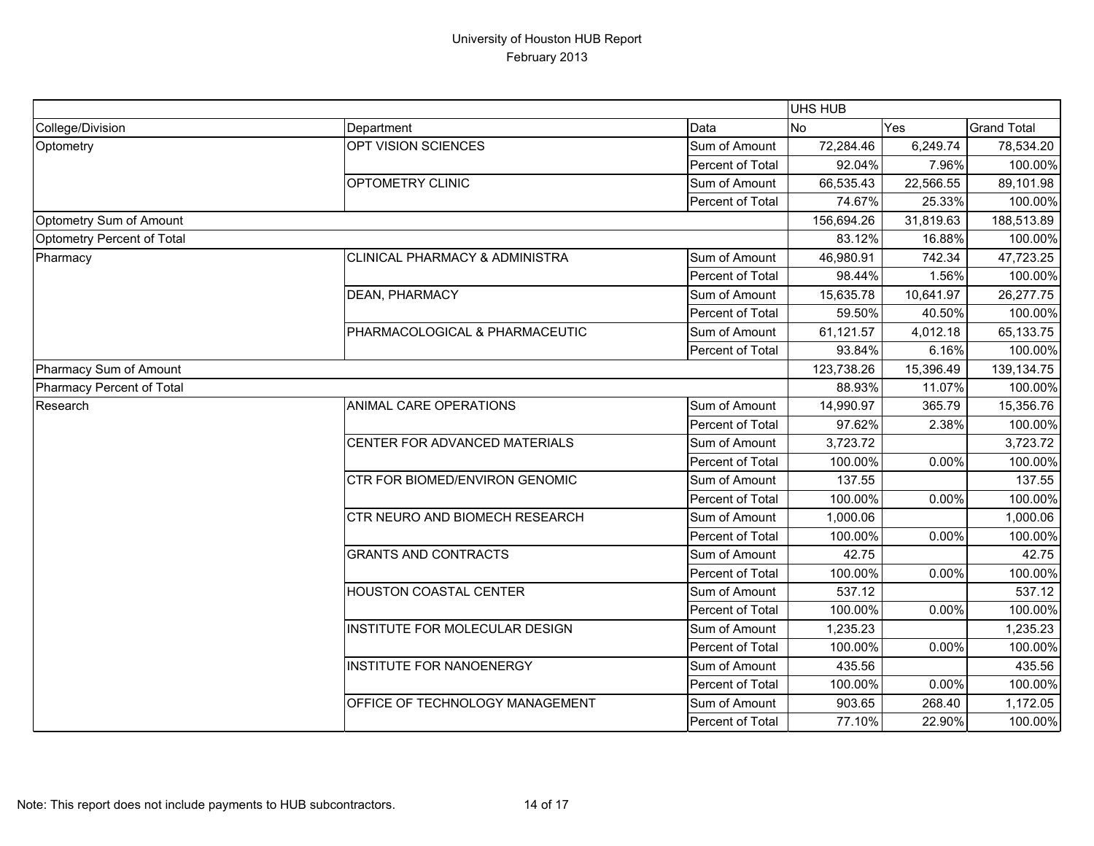|                            |                                           |                  | UHS HUB    |            |                    |
|----------------------------|-------------------------------------------|------------------|------------|------------|--------------------|
| College/Division           | Department                                | Data             | <b>No</b>  | Yes        | <b>Grand Total</b> |
| Optometry                  | OPT VISION SCIENCES                       | Sum of Amount    | 72,284.46  | 6,249.74   | 78,534.20          |
|                            |                                           | Percent of Total | 92.04%     | 7.96%      | 100.00%            |
|                            | OPTOMETRY CLINIC                          | Sum of Amount    | 66,535.43  | 22,566.55  | 89,101.98          |
|                            |                                           | Percent of Total | 74.67%     | 25.33%     | 100.00%            |
| Optometry Sum of Amount    |                                           | 156,694.26       | 31,819.63  | 188,513.89 |                    |
| Optometry Percent of Total |                                           |                  | 83.12%     | 16.88%     | 100.00%            |
| Pharmacy                   | <b>CLINICAL PHARMACY &amp; ADMINISTRA</b> | Sum of Amount    | 46,980.91  | 742.34     | 47,723.25          |
|                            |                                           | Percent of Total | 98.44%     | 1.56%      | 100.00%            |
|                            | <b>DEAN, PHARMACY</b>                     | Sum of Amount    | 15,635.78  | 10,641.97  | 26,277.75          |
|                            |                                           | Percent of Total | 59.50%     | 40.50%     | 100.00%            |
|                            | PHARMACOLOGICAL & PHARMACEUTIC            | Sum of Amount    | 61,121.57  | 4,012.18   | 65,133.75          |
|                            |                                           | Percent of Total | 93.84%     | 6.16%      | 100.00%            |
| Pharmacy Sum of Amount     |                                           |                  | 123,738.26 | 15,396.49  | 139,134.75         |
| Pharmacy Percent of Total  |                                           |                  | 88.93%     | 11.07%     | 100.00%            |
| Research                   | ANIMAL CARE OPERATIONS                    | Sum of Amount    | 14,990.97  | 365.79     | 15,356.76          |
|                            |                                           | Percent of Total | 97.62%     | 2.38%      | 100.00%            |
|                            | CENTER FOR ADVANCED MATERIALS             | Sum of Amount    | 3,723.72   |            | 3,723.72           |
|                            |                                           | Percent of Total | 100.00%    | 0.00%      | 100.00%            |
|                            | CTR FOR BIOMED/ENVIRON GENOMIC            | Sum of Amount    | 137.55     |            | 137.55             |
|                            |                                           | Percent of Total | 100.00%    | 0.00%      | 100.00%            |
|                            | CTR NEURO AND BIOMECH RESEARCH            | Sum of Amount    | 1,000.06   |            | 1,000.06           |
|                            |                                           | Percent of Total | 100.00%    | 0.00%      | 100.00%            |
|                            | <b>GRANTS AND CONTRACTS</b>               | Sum of Amount    | 42.75      |            | 42.75              |
|                            |                                           | Percent of Total | 100.00%    | 0.00%      | 100.00%            |
|                            | <b>HOUSTON COASTAL CENTER</b>             | Sum of Amount    | 537.12     |            | 537.12             |
|                            |                                           | Percent of Total | 100.00%    | 0.00%      | 100.00%            |
|                            | INSTITUTE FOR MOLECULAR DESIGN            | Sum of Amount    | 1,235.23   |            | 1,235.23           |
|                            |                                           | Percent of Total | 100.00%    | 0.00%      | 100.00%            |
|                            | <b>INSTITUTE FOR NANOENERGY</b>           | Sum of Amount    | 435.56     |            | 435.56             |
|                            |                                           | Percent of Total | 100.00%    | 0.00%      | 100.00%            |
|                            | OFFICE OF TECHNOLOGY MANAGEMENT           | Sum of Amount    | 903.65     | 268.40     | 1,172.05           |
|                            |                                           | Percent of Total | 77.10%     | 22.90%     | 100.00%            |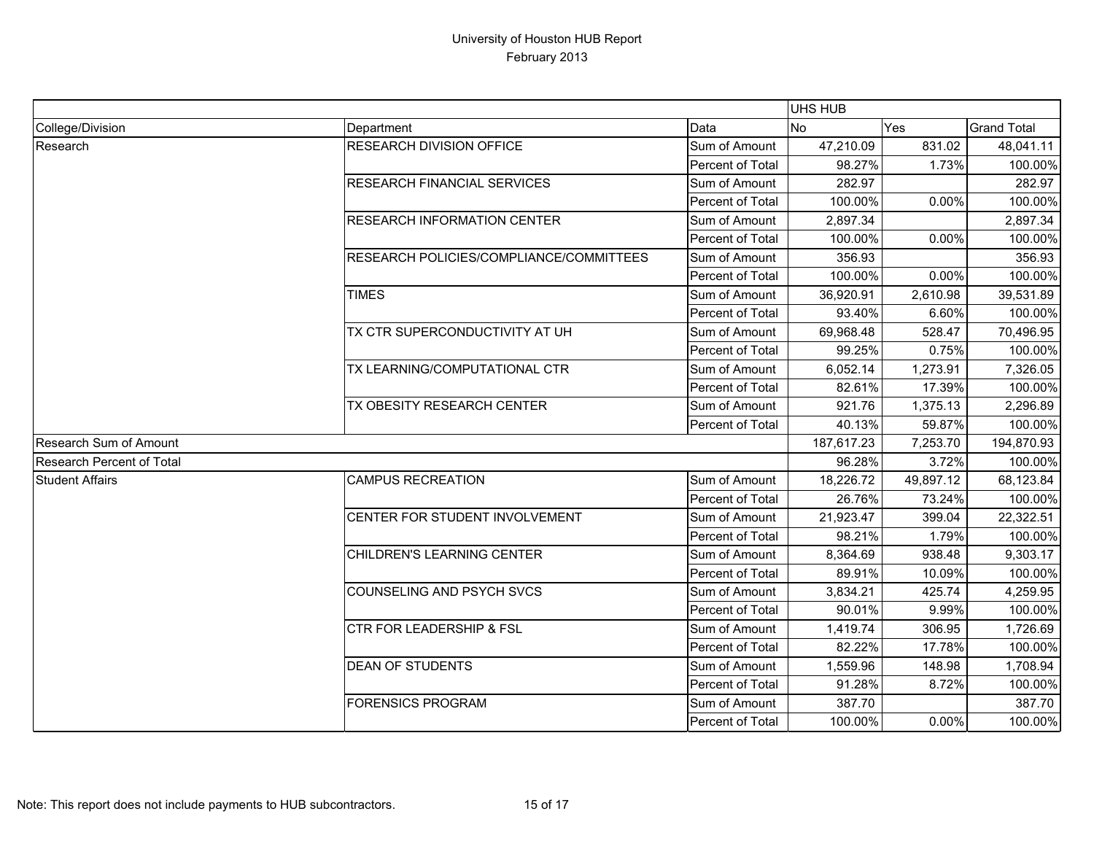|                                  |                                         |                  | UHS HUB    |           |                    |
|----------------------------------|-----------------------------------------|------------------|------------|-----------|--------------------|
| College/Division                 | Department                              | Data             | <b>No</b>  | Yes       | <b>Grand Total</b> |
| Research                         | <b>RESEARCH DIVISION OFFICE</b>         | Sum of Amount    | 47,210.09  | 831.02    | 48,041.11          |
|                                  |                                         | Percent of Total | 98.27%     | 1.73%     | 100.00%            |
|                                  | <b>RESEARCH FINANCIAL SERVICES</b>      | Sum of Amount    | 282.97     |           | 282.97             |
|                                  |                                         | Percent of Total | 100.00%    | 0.00%     | 100.00%            |
|                                  | <b>RESEARCH INFORMATION CENTER</b>      | Sum of Amount    | 2,897.34   |           | 2,897.34           |
|                                  |                                         | Percent of Total | 100.00%    | 0.00%     | 100.00%            |
|                                  | RESEARCH POLICIES/COMPLIANCE/COMMITTEES | Sum of Amount    | 356.93     |           | 356.93             |
|                                  |                                         | Percent of Total | 100.00%    | 0.00%     | 100.00%            |
|                                  | <b>TIMES</b>                            | Sum of Amount    | 36,920.91  | 2,610.98  | 39,531.89          |
|                                  |                                         | Percent of Total | 93.40%     | 6.60%     | 100.00%            |
|                                  | TX CTR SUPERCONDUCTIVITY AT UH          | Sum of Amount    | 69,968.48  | 528.47    | 70,496.95          |
|                                  |                                         | Percent of Total | 99.25%     | 0.75%     | 100.00%            |
|                                  | TX LEARNING/COMPUTATIONAL CTR           | Sum of Amount    | 6,052.14   | 1,273.91  | 7,326.05           |
|                                  |                                         | Percent of Total | 82.61%     | 17.39%    | 100.00%            |
|                                  | TX OBESITY RESEARCH CENTER              | Sum of Amount    | 921.76     | 1,375.13  | 2,296.89           |
|                                  |                                         | Percent of Total | 40.13%     | 59.87%    | 100.00%            |
| <b>Research Sum of Amount</b>    |                                         |                  | 187,617.23 | 7,253.70  | 194,870.93         |
| <b>Research Percent of Total</b> |                                         |                  | 96.28%     | 3.72%     | 100.00%            |
| <b>Student Affairs</b>           | <b>CAMPUS RECREATION</b>                | Sum of Amount    | 18,226.72  | 49,897.12 | 68,123.84          |
|                                  |                                         | Percent of Total | 26.76%     | 73.24%    | 100.00%            |
|                                  | CENTER FOR STUDENT INVOLVEMENT          | Sum of Amount    | 21,923.47  | 399.04    | 22,322.51          |
|                                  |                                         | Percent of Total | 98.21%     | 1.79%     | 100.00%            |
|                                  | CHILDREN'S LEARNING CENTER              | Sum of Amount    | 8,364.69   | 938.48    | 9,303.17           |
|                                  |                                         | Percent of Total | 89.91%     | 10.09%    | 100.00%            |
|                                  | <b>COUNSELING AND PSYCH SVCS</b>        | Sum of Amount    | 3,834.21   | 425.74    | 4,259.95           |
|                                  |                                         | Percent of Total | 90.01%     | 9.99%     | 100.00%            |
|                                  | <b>CTR FOR LEADERSHIP &amp; FSL</b>     | Sum of Amount    | 1,419.74   | 306.95    | 1,726.69           |
|                                  |                                         | Percent of Total | 82.22%     | 17.78%    | 100.00%            |
|                                  | <b>DEAN OF STUDENTS</b>                 | Sum of Amount    | 1,559.96   | 148.98    | 1,708.94           |
|                                  |                                         | Percent of Total | 91.28%     | 8.72%     | 100.00%            |
|                                  | <b>FORENSICS PROGRAM</b>                | Sum of Amount    | 387.70     |           | 387.70             |
|                                  |                                         | Percent of Total | 100.00%    | 0.00%     | 100.00%            |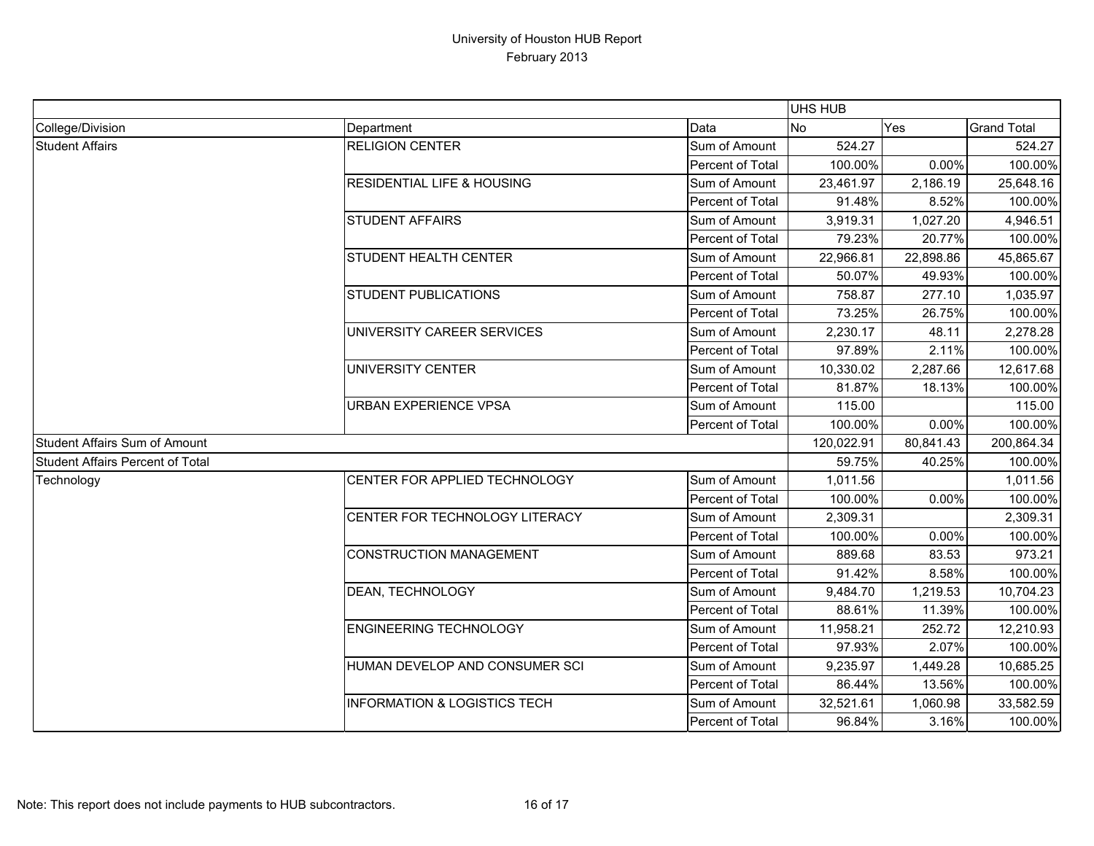|                                         |                                         |                  | UHS HUB   |            |                    |
|-----------------------------------------|-----------------------------------------|------------------|-----------|------------|--------------------|
| College/Division                        | Department                              | Data             | <b>No</b> | Yes        | <b>Grand Total</b> |
| <b>Student Affairs</b>                  | <b>RELIGION CENTER</b>                  | Sum of Amount    | 524.27    |            | 524.27             |
|                                         |                                         | Percent of Total | 100.00%   | 0.00%      | 100.00%            |
|                                         | <b>RESIDENTIAL LIFE &amp; HOUSING</b>   | Sum of Amount    | 23,461.97 | 2,186.19   | 25,648.16          |
|                                         |                                         | Percent of Total | 91.48%    | 8.52%      | 100.00%            |
|                                         | <b>STUDENT AFFAIRS</b>                  | Sum of Amount    | 3,919.31  | 1,027.20   | 4,946.51           |
|                                         |                                         | Percent of Total | 79.23%    | 20.77%     | 100.00%            |
|                                         | <b>STUDENT HEALTH CENTER</b>            | Sum of Amount    | 22,966.81 | 22,898.86  | 45,865.67          |
|                                         |                                         | Percent of Total | 50.07%    | 49.93%     | 100.00%            |
|                                         | <b>STUDENT PUBLICATIONS</b>             | Sum of Amount    | 758.87    | 277.10     | 1,035.97           |
|                                         |                                         | Percent of Total | 73.25%    | 26.75%     | 100.00%            |
|                                         | UNIVERSITY CAREER SERVICES              | Sum of Amount    | 2,230.17  | 48.11      | 2,278.28           |
|                                         |                                         | Percent of Total | 97.89%    | 2.11%      | 100.00%            |
|                                         | <b>UNIVERSITY CENTER</b>                | Sum of Amount    | 10,330.02 | 2,287.66   | 12,617.68          |
|                                         |                                         | Percent of Total | 81.87%    | 18.13%     | 100.00%            |
|                                         | <b>URBAN EXPERIENCE VPSA</b>            | Sum of Amount    | 115.00    |            | 115.00             |
|                                         |                                         | Percent of Total | 100.00%   | 0.00%      | 100.00%            |
| <b>Student Affairs Sum of Amount</b>    |                                         | 120,022.91       | 80,841.43 | 200,864.34 |                    |
| <b>Student Affairs Percent of Total</b> |                                         |                  | 59.75%    | 40.25%     | 100.00%            |
| Technology                              | CENTER FOR APPLIED TECHNOLOGY           | Sum of Amount    | 1,011.56  |            | 1,011.56           |
|                                         |                                         | Percent of Total | 100.00%   | 0.00%      | 100.00%            |
|                                         | CENTER FOR TECHNOLOGY LITERACY          | Sum of Amount    | 2,309.31  |            | 2,309.31           |
|                                         |                                         | Percent of Total | 100.00%   | 0.00%      | 100.00%            |
|                                         | <b>CONSTRUCTION MANAGEMENT</b>          | Sum of Amount    | 889.68    | 83.53      | 973.21             |
|                                         |                                         | Percent of Total | 91.42%    | 8.58%      | 100.00%            |
|                                         | <b>DEAN, TECHNOLOGY</b>                 | Sum of Amount    | 9,484.70  | 1,219.53   | 10,704.23          |
|                                         |                                         | Percent of Total | 88.61%    | 11.39%     | 100.00%            |
|                                         | <b>ENGINEERING TECHNOLOGY</b>           | Sum of Amount    | 11,958.21 | 252.72     | 12,210.93          |
|                                         |                                         | Percent of Total | 97.93%    | 2.07%      | 100.00%            |
|                                         | HUMAN DEVELOP AND CONSUMER SCI          | Sum of Amount    | 9,235.97  | 1,449.28   | 10,685.25          |
|                                         |                                         | Percent of Total | 86.44%    | 13.56%     | 100.00%            |
|                                         | <b>INFORMATION &amp; LOGISTICS TECH</b> | Sum of Amount    | 32,521.61 | 1,060.98   | 33,582.59          |
|                                         |                                         | Percent of Total | 96.84%    | 3.16%      | 100.00%            |